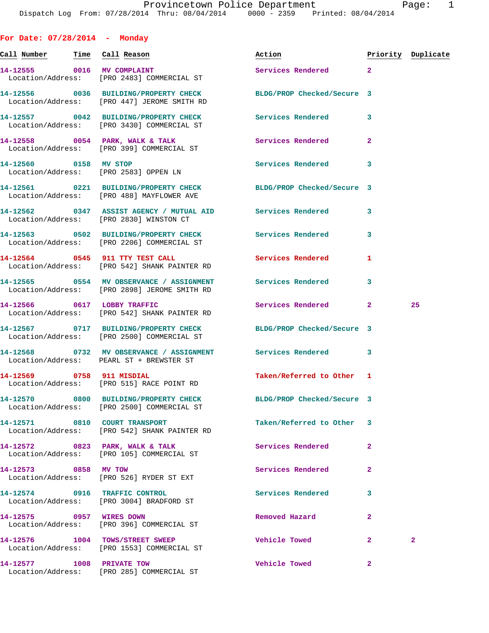**For Date: 07/28/2014 - Monday Call Number Time Call Reason Action Priority Duplicate 14-12555 0016 MV COMPLAINT Services Rendered 2**  Location/Address: [PRO 2483] COMMERCIAL ST **14-12556 0036 BUILDING/PROPERTY CHECK BLDG/PROP Checked/Secure 3**  Location/Address: [PRO 447] JEROME SMITH RD **14-12557 0042 BUILDING/PROPERTY CHECK Services Rendered 3**  Location/Address: [PRO 3430] COMMERCIAL ST **14-12558 0054 PARK, WALK & TALK Services Rendered 2**  Location/Address: [PRO 399] COMMERCIAL ST **14-12560 0158 MV STOP Services Rendered 3**  Location/Address: [PRO 2583] OPPEN LN **14-12561 0221 BUILDING/PROPERTY CHECK BLDG/PROP Checked/Secure 3**  Location/Address: [PRO 488] MAYFLOWER AVE **14-12562 0347 ASSIST AGENCY / MUTUAL AID Services Rendered 3**  Location/Address: [PRO 2830] WINSTON CT **14-12563 0502 BUILDING/PROPERTY CHECK Services Rendered 3**  Location/Address: [PRO 2206] COMMERCIAL ST 14-12564 0545 911 TTY TEST CALL Services Rendered 1 Location/Address: [PRO 542] SHANK PAINTER RD **14-12565 0554 MV OBSERVANCE / ASSIGNMENT Services Rendered 3**  Location/Address: [PRO 2898] JEROME SMITH RD **14-12566 0617 LOBBY TRAFFIC Services Rendered 2 25**  Location/Address: [PRO 542] SHANK PAINTER RD **14-12567 0717 BUILDING/PROPERTY CHECK BLDG/PROP Checked/Secure 3**  Location/Address: [PRO 2500] COMMERCIAL ST **14-12568 0732 MV OBSERVANCE / ASSIGNMENT Services Rendered 3**  Location/Address: PEARL ST + BREWSTER ST **14-12569 0758 911 MISDIAL Taken/Referred to Other 1**  Location/Address: [PRO 515] RACE POINT RD **14-12570 0800 BUILDING/PROPERTY CHECK BLDG/PROP Checked/Secure 3**  Location/Address: [PRO 2500] COMMERCIAL ST **14-12571 0810 COURT TRANSPORT Taken/Referred to Other 3**  Location/Address: [PRO 542] SHANK PAINTER RD **14-12572 0823 PARK, WALK & TALK Services Rendered 2**  Location/Address: [PRO 105] COMMERCIAL ST **14-12573 0858 MV TOW Services Rendered 2**  Location/Address: [PRO 526] RYDER ST EXT **14-12574 0916 TRAFFIC CONTROL Services Rendered 3**  Location/Address: [PRO 3004] BRADFORD ST **14-12575 0957 WIRES DOWN Removed Hazard 2** 

 Location/Address: [PRO 396] COMMERCIAL ST **14-12576 1004 TOWS/STREET SWEEP Vehicle Towed 2 2**  Location/Address: [PRO 1553] COMMERCIAL ST

**14-12577 1008 PRIVATE TOW Vehicle Towed 2**  Location/Address: [PRO 285] COMMERCIAL ST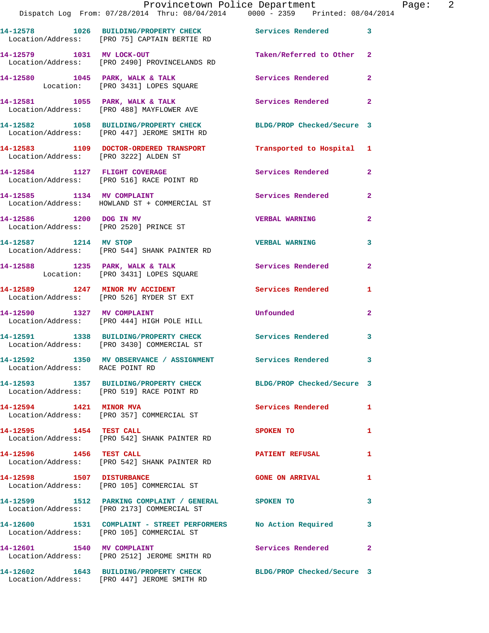|                                 | Provincetown Police Department The Page: 2                                                                                                                      |                            |                |
|---------------------------------|-----------------------------------------------------------------------------------------------------------------------------------------------------------------|----------------------------|----------------|
|                                 | 14-12578 1026 BUILDING/PROPERTY CHECK Services Rendered 3<br>Location/Address: [PRO 75] CAPTAIN BERTIE RD                                                       |                            |                |
|                                 | 14-12579 1031 MV LOCK-OUT 14-12579 2<br>Location/Address: [PRO 2490] PROVINCELANDS RD                                                                           |                            |                |
|                                 | 14-12580 1045 PARK, WALK & TALK Services Rendered Location: [PRO 3431] LOPES SQUARE                                                                             |                            | $\mathbf{2}$   |
|                                 | 14-12581 1055 PARK, WALK & TALK 2 Services Rendered 2<br>Location/Address: [PRO 488] MAYFLOWER AVE                                                              |                            |                |
|                                 | 14-12582 1058 BUILDING/PROPERTY CHECK BLDG/PROP Checked/Secure 3<br>Location/Address: [PRO 447] JEROME SMITH RD                                                 |                            |                |
|                                 | 14-12583 1109 DOCTOR-ORDERED TRANSPORT Transported to Hospital 1<br>Location/Address: [PRO 3222] ALDEN ST                                                       |                            |                |
|                                 | 14-12584 1127 FLIGHT COVERAGE<br>Location/Address: [PRO 516] RACE POINT RD                                                                                      | Services Rendered 2        |                |
|                                 | 14-12585 1134 MV COMPLAINT<br>Location/Address: HOWLAND ST + COMMERCIAL ST                                                                                      | Services Rendered          | $\mathbf{2}$   |
|                                 | 14-12586 1200 DOG IN MV<br>Location/Address: [PRO 2520] PRINCE ST                                                                                               | <b>VERBAL WARNING 2</b>    |                |
|                                 | 14-12587 1214 MV STOP 120 2008 2009 2014 214 2214 2214 2214 2214 2314 232 233 234 234 235 236 237 238 238 238 2<br>Location/Address: [PRO 544] SHANK PAINTER RD |                            | 3              |
|                                 | 14-12588 1235 PARK, WALK & TALK 1988 Services Rendered<br>Location: [PRO 3431] LOPES SQUARE                                                                     |                            | $\overline{2}$ |
|                                 | 14-12589 1247 MINOR MV ACCIDENT Services Rendered<br>Location/Address: [PRO 526] RYDER ST EXT                                                                   |                            | 1              |
|                                 | 14-12590 1327 MV COMPLAINT<br>Location/Address: [PRO 444] HIGH POLE HILL                                                                                        | <b>Unfounded United</b>    | $\mathbf{2}$   |
|                                 | 14-12591 1338 BUILDING/PROPERTY CHECK Services Rendered 3<br>Location/Address: [PRO 3430] COMMERCIAL ST                                                         |                            |                |
| Location/Address: RACE POINT RD | 14-12592 1350 MV OBSERVANCE / ASSIGNMENT Services Rendered                                                                                                      |                            |                |
|                                 | 14-12593 1357 BUILDING/PROPERTY CHECK BLDG/PROP Checked/Secure 3<br>Location/Address: [PRO 519] RACE POINT RD                                                   |                            |                |
| 14-12594 1421 MINOR MVA         | Location/Address: [PRO 357] COMMERCIAL ST                                                                                                                       | <b>Services Rendered</b> 1 |                |
|                                 | 14-12595 1454 TEST CALL<br>Location/Address: [PRO 542] SHANK PAINTER RD                                                                                         | SPOKEN TO                  | 1              |
| 14-12596 1456 TEST CALL         | Location/Address: [PRO 542] SHANK PAINTER RD                                                                                                                    | <b>PATIENT REFUSAL</b>     | 1              |
|                                 | 14-12598 1507 DISTURBANCE<br>Location/Address: [PRO 105] COMMERCIAL ST                                                                                          | <b>GONE ON ARRIVAL</b>     | 1              |
|                                 | 14-12599 1512 PARKING COMPLAINT / GENERAL SPOKEN TO<br>Location/Address: [PRO 2173] COMMERCIAL ST                                                               |                            | 3              |
|                                 | 14-12600 1531 COMPLAINT - STREET PERFORMERS No Action Required 3<br>Location/Address: [PRO 105] COMMERCIAL ST                                                   |                            |                |
| 14-12601 1540 MV COMPLAINT      | Location/Address: [PRO 2512] JEROME SMITH RD                                                                                                                    | Services Rendered          | $\mathbf{2}$   |
|                                 | 14-12602 1643 BUILDING/PROPERTY CHECK BLDG/PROP Checked/Secure 3<br>Location/Address: [PRO 447] JEROME SMITH RD                                                 |                            |                |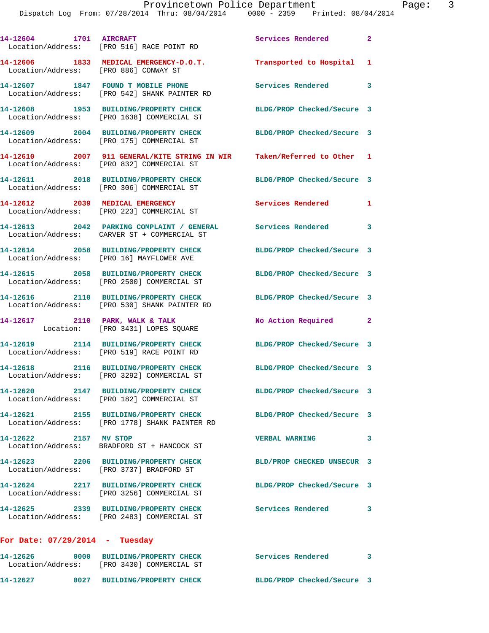|                                       | 14-12604 1701 AIRCRAFT<br>Location/Address: [PRO 516] RACE POINT RD                                                 | <b>Services Rendered</b>   | $\overline{\mathbf{2}}$ |
|---------------------------------------|---------------------------------------------------------------------------------------------------------------------|----------------------------|-------------------------|
| Location/Address: [PRO 886] CONWAY ST | 14-12606 1833 MEDICAL EMERGENCY-D.O.T.                                                                              | Transported to Hospital 1  |                         |
|                                       | 14-12607 1847 FOUND T MOBILE PHONE<br>Location/Address: [PRO 542] SHANK PAINTER RD                                  | <b>Services Rendered</b>   | $\overline{\mathbf{3}}$ |
|                                       | 14-12608 1953 BUILDING/PROPERTY CHECK<br>Location/Address: [PRO 1638] COMMERCIAL ST                                 | BLDG/PROP Checked/Secure 3 |                         |
|                                       | 14-12609 2004 BUILDING/PROPERTY CHECK<br>Location/Address: [PRO 175] COMMERCIAL ST                                  | BLDG/PROP Checked/Secure 3 |                         |
|                                       | 14-12610 2007 911 GENERAL/KITE STRING IN WIR Taken/Referred to Other 1<br>Location/Address: [PRO 832] COMMERCIAL ST |                            |                         |
|                                       | 14-12611 2018 BUILDING/PROPERTY CHECK<br>Location/Address: [PRO 306] COMMERCIAL ST                                  | BLDG/PROP Checked/Secure 3 |                         |
|                                       | 14-12612 2039 MEDICAL EMERGENCY<br>Location/Address: [PRO 223] COMMERCIAL ST                                        | Services Rendered 1        |                         |
|                                       | 14-12613 2042 PARKING COMPLAINT / GENERAL Services Rendered<br>Location/Address: CARVER ST + COMMERCIAL ST          |                            | $\overline{\mathbf{3}}$ |
|                                       | 14-12614 2058 BUILDING/PROPERTY CHECK<br>Location/Address: [PRO 16] MAYFLOWER AVE                                   | BLDG/PROP Checked/Secure 3 |                         |
|                                       | 14-12615 2058 BUILDING/PROPERTY CHECK<br>Location/Address: [PRO 2500] COMMERCIAL ST                                 | BLDG/PROP Checked/Secure 3 |                         |
|                                       | 14-12616 2110 BUILDING/PROPERTY CHECK<br>Location/Address: [PRO 530] SHANK PAINTER RD                               | BLDG/PROP Checked/Secure 3 |                         |
|                                       | 14-12617 2110 PARK, WALK & TALK<br>Location: [PRO 3431] LOPES SQUARE                                                | No Action Required 2       |                         |
|                                       | 14-12619 2114 BUILDING/PROPERTY CHECK<br>Location/Address: [PRO 519] RACE POINT RD                                  | BLDG/PROP Checked/Secure 3 |                         |
|                                       | 14-12618 2116 BUILDING/PROPERTY CHECK<br>Location/Address: [PRO 3292] COMMERCIAL ST                                 | BLDG/PROP Checked/Secure 3 |                         |
| 14-12620                              | 2147 BUILDING/PROPERTY CHECK<br>Location/Address: [PRO 182] COMMERCIAL ST                                           | BLDG/PROP Checked/Secure 3 |                         |
|                                       | 14-12621 2155 BUILDING/PROPERTY CHECK<br>Location/Address: [PRO 1778] SHANK PAINTER RD                              | BLDG/PROP Checked/Secure 3 |                         |
| 14-12622 2157 MV STOP                 | Location/Address: BRADFORD ST + HANCOCK ST                                                                          | <b>VERBAL WARNING</b>      | 3                       |
|                                       | 14-12623 2206 BUILDING/PROPERTY CHECK<br>Location/Address: [PRO 3737] BRADFORD ST                                   | BLD/PROP CHECKED UNSECUR 3 |                         |
|                                       | 14-12624 2217 BUILDING/PROPERTY CHECK<br>Location/Address: [PRO 3256] COMMERCIAL ST                                 | BLDG/PROP Checked/Secure 3 |                         |
|                                       | 14-12625 2339 BUILDING/PROPERTY CHECK<br>Location/Address: [PRO 2483] COMMERCIAL ST                                 | Services Rendered          | 3                       |
| For Date: $07/29/2014$ - Tuesday      |                                                                                                                     |                            |                         |

| 14-12626<br>Location/Address: | 0000 | <b>BUILDING/PROPERTY CHECK</b><br>ÍPRO 3430] COMMERCIAL ST | Services Rendered          |  |
|-------------------------------|------|------------------------------------------------------------|----------------------------|--|
| 14-12627                      | 0027 | <b>BUILDING/PROPERTY CHECK</b>                             | BLDG/PROP Checked/Secure 3 |  |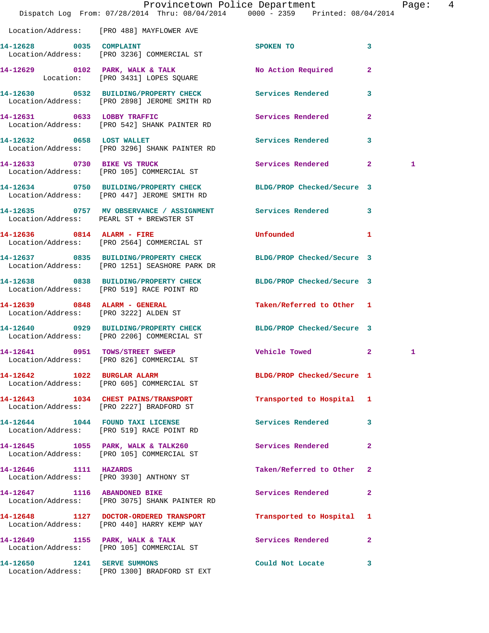|                             |                                                                                                                   | Provincetown Police Department | Page: 4        |
|-----------------------------|-------------------------------------------------------------------------------------------------------------------|--------------------------------|----------------|
|                             | Dispatch Log From: 07/28/2014 Thru: 08/04/2014 0000 - 2359 Printed: 08/04/2014                                    |                                |                |
|                             | Location/Address: [PRO 488] MAYFLOWER AVE                                                                         |                                |                |
| 14-12628 0035 COMPLAINT     | Location/Address: [PRO 3236] COMMERCIAL ST                                                                        | SPOKEN TO                      | 3              |
|                             | 14-12629 0102 PARK, WALK & TALK<br>Location: [PRO 3431] LOPES SQUARE                                              | No Action Required 2           |                |
|                             | 14-12630 0532 BUILDING/PROPERTY CHECK Services Rendered 3<br>Location/Address: [PRO 2898] JEROME SMITH RD         |                                |                |
|                             | 14-12631 0633 LOBBY TRAFFIC<br>Location/Address: [PRO 542] SHANK PAINTER RD                                       | Services Rendered              | $\mathbf{2}$   |
| 14-12632 0658 LOST WALLET   | Location/Address: [PRO 3296] SHANK PAINTER RD                                                                     | Services Rendered 3            |                |
|                             | 14-12633 0730 BIKE VS TRUCK<br>Location/Address: [PRO 105] COMMERCIAL ST                                          | Services Rendered 2            | 1              |
|                             | 14-12634 0750 BUILDING/PROPERTY CHECK BLDG/PROP Checked/Secure 3<br>Location/Address: [PRO 447] JEROME SMITH RD   |                                |                |
|                             | 14-12635 0757 MV OBSERVANCE / ASSIGNMENT Services Rendered 3<br>Location/Address: PEARL ST + BREWSTER ST          |                                |                |
|                             | 14-12636 0814 ALARM - FIRE<br>Location/Address: [PRO 2564] COMMERCIAL ST                                          | Unfounded                      | $\mathbf{1}$   |
|                             | 14-12637 0835 BUILDING/PROPERTY CHECK BLDG/PROP Checked/Secure 3<br>Location/Address: [PRO 1251] SEASHORE PARK DR |                                |                |
|                             | 14-12638 0838 BUILDING/PROPERTY CHECK BLDG/PROP Checked/Secure 3<br>Location/Address: [PRO 519] RACE POINT RD     |                                |                |
|                             | 14-12639 0848 ALARM - GENERAL<br>Location/Address: [PRO 3222] ALDEN ST                                            | Taken/Referred to Other 1      |                |
|                             | 14-12640 0929 BUILDING/PROPERTY CHECK<br>Location/Address: [PRO 2206] COMMERCIAL ST                               | BLDG/PROP Checked/Secure 3     |                |
|                             | 14-12641 0951 TOWS/STREET SWEEP Vehicle Towed 2<br>Location/Address: [PRO 826] COMMERCIAL ST                      |                                | 1              |
|                             | 14-12642 1022 BURGLAR ALARM<br>Location/Address: [PRO 605] COMMERCIAL ST                                          | BLDG/PROP Checked/Secure 1     |                |
|                             | 14-12643 1034 CHEST PAINS/TRANSPORT<br>Location/Address: [PRO 2227] BRADFORD ST                                   | Transported to Hospital 1      |                |
|                             | 14-12644 1044 FOUND TAXI LICENSE<br>Location/Address: [PRO 519] RACE POINT RD                                     | Services Rendered              | $\mathbf{3}$   |
|                             | 14-12645 1055 PARK, WALK & TALK260<br>Location/Address: [PRO 105] COMMERCIAL ST                                   | Services Rendered              | $\overline{2}$ |
| 14-12646 1111 HAZARDS       | Location/Address: [PRO 3930] ANTHONY ST                                                                           | Taken/Referred to Other        | $\mathbf{2}$   |
|                             | 14-12647 1116 ABANDONED BIKE<br>Location/Address: [PRO 3075] SHANK PAINTER RD                                     | Services Rendered              | $\mathbf{2}$   |
|                             | 14-12648 1127 DOCTOR-ORDERED TRANSPORT<br>Location/Address: [PRO 440] HARRY KEMP WAY                              | Transported to Hospital 1      |                |
|                             | 14-12649 1155 PARK, WALK & TALK<br>Location/Address: [PRO 105] COMMERCIAL ST                                      | Services Rendered 2            |                |
| 14-12650 1241 SERVE SUMMONS | Location/Address: [PRO 1300] BRADFORD ST EXT                                                                      | Could Not Locate               | 3              |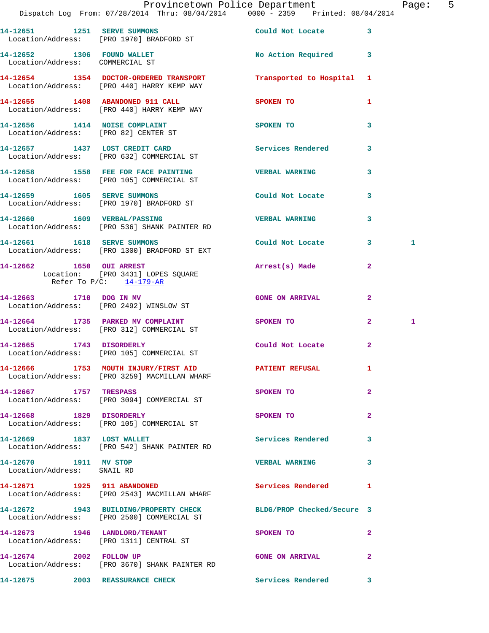|                                                     | Dispatch Log From: 07/28/2014 Thru: 08/04/2014 0000 - 2359 Printed: 08/04/2014                                 | Provincetown Police Department |                | Page: 5 |  |
|-----------------------------------------------------|----------------------------------------------------------------------------------------------------------------|--------------------------------|----------------|---------|--|
|                                                     |                                                                                                                |                                |                |         |  |
|                                                     | 14-12651 1251 SERVE SUMMONS<br>Location/Address: [PRO 1970] BRADFORD ST                                        | Could Not Locate 3             |                |         |  |
| Location/Address: COMMERCIAL ST                     | 14-12652 1306 FOUND WALLET                                                                                     | No Action Required 3           |                |         |  |
|                                                     | 14-12654 1354 DOCTOR-ORDERED TRANSPORT Transported to Hospital 1<br>Location/Address: [PRO 440] HARRY KEMP WAY |                                |                |         |  |
|                                                     | 14-12655 1408 ABANDONED 911 CALL SPOKEN TO<br>Location/Address: [PRO 440] HARRY KEMP WAY                       |                                | $\mathbf{1}$   |         |  |
|                                                     | 14-12656 1414 NOISE COMPLAINT<br>Location/Address: [PRO 82] CENTER ST                                          | <b>SPOKEN TO</b>               | $\mathbf{3}$   |         |  |
|                                                     | 14-12657 1437 LOST CREDIT CARD<br>Location/Address: [PRO 632] COMMERCIAL ST                                    | Services Rendered 3            |                |         |  |
|                                                     | 14-12658 1558 FEE FOR FACE PAINTING<br>Location/Address: [PRO 105] COMMERCIAL ST                               | <b>VERBAL WARNING</b>          | $\mathbf{3}$   |         |  |
|                                                     | 14-12659 1605 SERVE SUMMONS<br>Location/Address: [PRO 1970] BRADFORD ST                                        | Could Not Locate               | $\mathbf{3}$   |         |  |
|                                                     | 14-12660 1609 VERBAL/PASSING<br>Location/Address: [PRO 536] SHANK PAINTER RD                                   | <b>VERBAL WARNING</b>          | $\mathbf{3}$   |         |  |
|                                                     | 14-12661 1618 SERVE SUMMONS<br>Location/Address: [PRO 1300] BRADFORD ST EXT                                    | Could Not Locate 3             |                | 1       |  |
|                                                     | 14-12662 1650 OUI ARREST<br>Location: [PRO 3431] LOPES SQUARE<br>Refer To $P/C$ : 14-179-AR                    | Arrest(s) Made                 | $\mathbf{2}$   |         |  |
|                                                     | 14-12663 1710 DOG IN MV<br>Location/Address: [PRO 2492] WINSLOW ST                                             | <b>GONE ON ARRIVAL</b>         | $\mathbf{2}$   |         |  |
|                                                     | 14-12664 1735 PARKED MV COMPLAINT<br>Location/Address: [PRO 312] COMMERCIAL ST                                 | SPOKEN TO                      | $\mathbf{2}$   | 1       |  |
|                                                     | 14-12665 1743 DISORDERLY<br>Location/Address: [PRO 105] COMMERCIAL ST                                          | Could Not Locate 2             |                |         |  |
|                                                     | 14-12666 1753 MOUTH INJURY/FIRST AID PATIENT REFUSAL 1<br>Location/Address: [PRO 3259] MACMILLAN WHARF         |                                |                |         |  |
| 14-12667 1757 TRESPASS                              | Location/Address: [PRO 3094] COMMERCIAL ST                                                                     | SPOKEN TO                      | $\mathbf{2}$   |         |  |
| 14-12668 1829 DISORDERLY                            | Location/Address: [PRO 105] COMMERCIAL ST                                                                      | SPOKEN TO                      | $\overline{a}$ |         |  |
|                                                     | 14-12669 1837 LOST WALLET<br>Location/Address: [PRO 542] SHANK PAINTER RD                                      | Services Rendered              | 3              |         |  |
| 14-12670 1911 MV STOP<br>Location/Address: SNAIL RD |                                                                                                                | VERBAL WARNING 3               |                |         |  |
|                                                     | 14-12671 1925 911 ABANDONED<br>Location/Address: [PRO 2543] MACMILLAN WHARF                                    | Services Rendered              | -1             |         |  |
|                                                     | 14-12672 1943 BUILDING/PROPERTY CHECK BLDG/PROP Checked/Secure 3<br>Location/Address: [PRO 2500] COMMERCIAL ST |                                |                |         |  |
|                                                     | 14-12673 1946 LANDLORD/TENANT<br>Location/Address: [PRO 1311] CENTRAL ST                                       | SPOKEN TO                      | $\mathbf{2}$   |         |  |
|                                                     | 14-12674 2002 FOLLOW UP<br>Location/Address: [PRO 3670] SHANK PAINTER RD                                       | <b>GONE ON ARRIVAL</b>         | $\mathbf{2}$   |         |  |
|                                                     | 14-12675 2003 REASSURANCE CHECK                                                                                | Services Rendered 3            |                |         |  |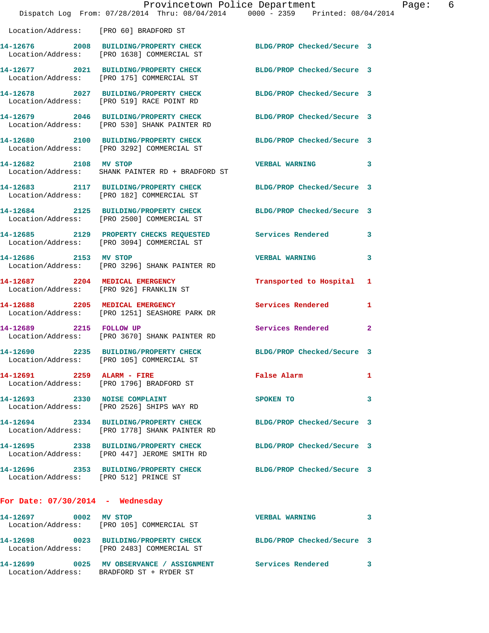|                                        | Provincetown Police Department<br>Dispatch Log From: 07/28/2014 Thru: 08/04/2014 0000 - 2359 Printed: 08/04/2014 |                            | Page: 6      |
|----------------------------------------|------------------------------------------------------------------------------------------------------------------|----------------------------|--------------|
| Location/Address: [PRO 60] BRADFORD ST |                                                                                                                  |                            |              |
|                                        | 14-12676 2008 BUILDING/PROPERTY CHECK BLDG/PROP Checked/Secure 3<br>Location/Address: [PRO 1638] COMMERCIAL ST   |                            |              |
|                                        | 14-12677 2021 BUILDING/PROPERTY CHECK BLDG/PROP Checked/Secure 3<br>Location/Address: [PRO 175] COMMERCIAL ST    |                            |              |
|                                        | 14-12678 2027 BUILDING/PROPERTY CHECK BLDG/PROP Checked/Secure 3<br>Location/Address: [PRO 519] RACE POINT RD    |                            |              |
|                                        | 14-12679 2046 BUILDING/PROPERTY CHECK BLDG/PROP Checked/Secure 3<br>Location/Address: [PRO 530] SHANK PAINTER RD |                            |              |
|                                        | 14-12680 2100 BUILDING/PROPERTY CHECK BLDG/PROP Checked/Secure 3<br>Location/Address: [PRO 3292] COMMERCIAL ST   |                            |              |
| 14-12682 2108 MV STOP                  | Location/Address: SHANK PAINTER RD + BRADFORD ST                                                                 | VERBAL WARNING 3           |              |
|                                        | 14-12683 2117 BUILDING/PROPERTY CHECK BLDG/PROP Checked/Secure 3<br>Location/Address: [PRO 182] COMMERCIAL ST    |                            |              |
|                                        | 14-12684 2125 BUILDING/PROPERTY CHECK BLDG/PROP Checked/Secure 3<br>Location/Address: [PRO 2500] COMMERCIAL ST   |                            |              |
|                                        | 14-12685 2129 PROPERTY CHECKS REQUESTED Services Rendered 3<br>Location/Address: [PRO 3094] COMMERCIAL ST        |                            |              |
| 14-12686 2153 MV STOP                  | Location/Address: [PRO 3296] SHANK PAINTER RD                                                                    | <b>VERBAL WARNING</b>      | 3            |
|                                        | 14-12687 2204 MEDICAL EMERGENCY<br>Location/Address: [PRO 926] FRANKLIN ST                                       | Transported to Hospital 1  |              |
|                                        | 14-12688 2205 MEDICAL EMERGENCY<br>Location/Address: [PRO 1251] SEASHORE PARK DR                                 | <b>Services Rendered</b>   | $\mathbf{1}$ |
| 14-12689 2215 FOLLOW UP                | Location/Address: [PRO 3670] SHANK PAINTER RD                                                                    | Services Rendered 2        |              |
|                                        | 14-12690 2235 BUILDING/PROPERTY CHECK<br>Location/Address: [PRO 105] COMMERCIAL ST                               | BLDG/PROP Checked/Secure 3 |              |
| 14-12691 2259 ALARM - FIRE             | Location/Address: [PRO 1796] BRADFORD ST                                                                         | False Alarm                | 1            |
|                                        | 14-12693 2330 NOISE COMPLAINT<br>Location/Address: [PRO 2526] SHIPS WAY RD                                       | SPOKEN TO                  | 3            |
|                                        | 14-12694 2334 BUILDING/PROPERTY CHECK<br>Location/Address: [PRO 1778] SHANK PAINTER RD                           | BLDG/PROP Checked/Secure 3 |              |
|                                        | 14-12695 2338 BUILDING/PROPERTY CHECK BLDG/PROP Checked/Secure 3<br>Location/Address: [PRO 447] JEROME SMITH RD  |                            |              |
| Location/Address: [PRO 512] PRINCE ST  | 14-12696 2353 BUILDING/PROPERTY CHECK BLDG/PROP Checked/Secure 3                                                 |                            |              |
| For Date: $07/30/2014$ - Wednesday     |                                                                                                                  |                            |              |
| 14-12697 0002 MV STOP                  | Location/Address: [PRO 105] COMMERCIAL ST                                                                        | <b>VERBAL WARNING</b>      | 3            |
|                                        | 14-12698 0023 BUILDING/PROPERTY CHECK BLDG/PROP Checked/Secure 3<br>Location/Address: [PRO 2483] COMMERCIAL ST   |                            |              |
|                                        | 14-12699 0025 MV OBSERVANCE / ASSIGNMENT Services Rendered 3                                                     |                            |              |

Location/Address: BRADFORD ST + RYDER ST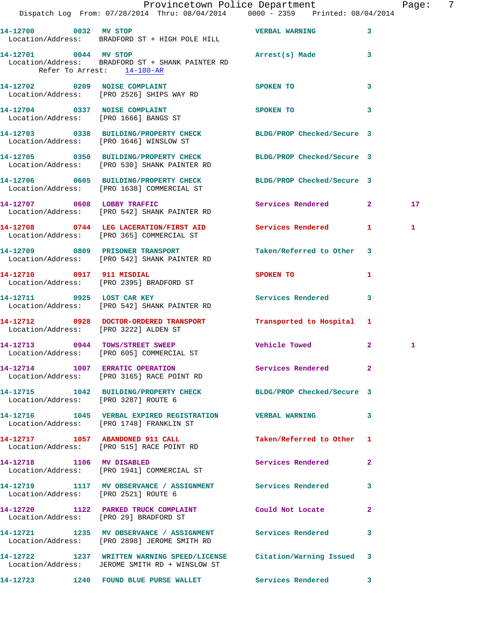|                                                     | Dispatch Log From: 07/28/2014 Thru: 08/04/2014   0000 - 2359   Printed: 08/04/2014                                      | Provincetown Police Department Fage: 7 |              |    |  |
|-----------------------------------------------------|-------------------------------------------------------------------------------------------------------------------------|----------------------------------------|--------------|----|--|
|                                                     | Location/Address: BRADFORD ST + HIGH POLE HILL                                                                          |                                        | 3            |    |  |
| 14-12701 0044 MV STOP<br>Refer To Arrest: 14-180-AR | Location/Address: BRADFORD ST + SHANK PAINTER RD                                                                        | Arrest(s) Made                         | 3            |    |  |
|                                                     | 14-12702 0209 NOISE COMPLAINT<br>Location/Address: [PRO 2526] SHIPS WAY RD                                              | SPOKEN TO                              | 3            |    |  |
|                                                     | 14-12704 0337 NOISE COMPLAINT<br>Location/Address: [PRO 1666] BANGS ST                                                  | <b>SPOKEN TO</b>                       | 3            |    |  |
|                                                     | 14-12703 0338 BUILDING/PROPERTY CHECK BLDG/PROP Checked/Secure 3<br>Location/Address: [PRO 1646] WINSLOW ST             |                                        |              |    |  |
|                                                     | 14-12705 0350 BUILDING/PROPERTY CHECK BLDG/PROP Checked/Secure 3<br>Location/Address: [PRO 530] SHANK PAINTER RD        |                                        |              |    |  |
|                                                     | 14-12706 0605 BUILDING/PROPERTY CHECK BLDG/PROP Checked/Secure 3<br>Location/Address: [PRO 1638] COMMERCIAL ST          |                                        |              |    |  |
|                                                     | 14-12707 0608 LOBBY TRAFFIC<br>Location/Address: [PRO 542] SHANK PAINTER RD                                             | Services Rendered 2                    |              | 17 |  |
|                                                     | 14-12708 0744 LEG LACERATION/FIRST AID Services Rendered 1<br>Location/Address: [PRO 365] COMMERCIAL ST                 |                                        |              | 1  |  |
|                                                     | 14-12709 0809 PRISONER TRANSPORT<br>Location/Address: [PRO 542] SHANK PAINTER RD                                        | Taken/Referred to Other 3              |              |    |  |
|                                                     |                                                                                                                         | SPOKEN TO AND THE SPOKEN TO            | 1            |    |  |
|                                                     | 14-12711 0925 LOST CAR KEY<br>Location/Address: [PRO 542] SHANK PAINTER RD                                              | Services Rendered 3                    |              |    |  |
|                                                     | 14-12712 0928 DOCTOR-ORDERED TRANSPORT Transported to Hospital 1<br>Location/Address: [PRO 3222] ALDEN ST               |                                        |              |    |  |
|                                                     | 14-12713 0944 TOWS/STREET SWEEP<br>Location/Address: [PRO 605] COMMERCIAL ST                                            | Vehicle Towed                          | $\mathbf{2}$ | 1  |  |
|                                                     | 14-12714 1007 ERRATIC OPERATION<br>Location/Address: [PRO 3165] RACE POINT RD                                           | <b>Services Rendered</b> 2             |              |    |  |
| Location/Address: [PRO 3287] ROUTE 6                | 14-12715 1042 BUILDING/PROPERTY CHECK BLDG/PROP Checked/Secure 3                                                        |                                        |              |    |  |
|                                                     | 14-12716 1045 VERBAL EXPIRED REGISTRATION VERBAL WARNING 3<br>Location/Address: [PRO 1748] FRANKLIN ST                  |                                        |              |    |  |
|                                                     | 14-12717 1057 ABANDONED 911 CALL<br>Location/Address: [PRO 515] RACE POINT RD                                           | Taken/Referred to Other 1              |              |    |  |
| 14-12718 1106 MV DISABLED                           | Location/Address: [PRO 1941] COMMERCIAL ST                                                                              | <b>Services Rendered</b>               | $\mathbf{2}$ |    |  |
| Location/Address: [PRO 2521] ROUTE 6                | 14-12719 1117 MV OBSERVANCE / ASSIGNMENT Services Rendered                                                              |                                        | 3            |    |  |
|                                                     | 14-12720 1122 PARKED TRUCK COMPLAINT Could Not Locate<br>Location/Address: [PRO 29] BRADFORD ST                         |                                        | $\mathbf{2}$ |    |  |
|                                                     | 14-12721 1235 MV OBSERVANCE / ASSIGNMENT Services Rendered<br>Location/Address: [PRO 2898] JEROME SMITH RD              |                                        | 3            |    |  |
|                                                     | 14-12722 1237 WRITTEN WARNING SPEED/LICENSE Citation/Warning Issued 3<br>Location/Address: JEROME SMITH RD + WINSLOW ST |                                        |              |    |  |
|                                                     | 14-12723 1240 FOUND BLUE PURSE WALLET Services Rendered                                                                 |                                        | 3            |    |  |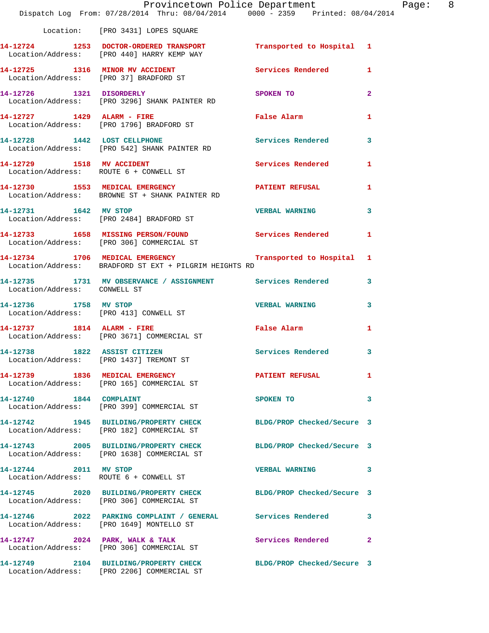|                              | Dispatch Log From: 07/28/2014 Thru: 08/04/2014 0000 - 2359 Printed: 08/04/2014                                        | Provincetown Police Department                                                                                                                                                                                                | Page: 8        |
|------------------------------|-----------------------------------------------------------------------------------------------------------------------|-------------------------------------------------------------------------------------------------------------------------------------------------------------------------------------------------------------------------------|----------------|
|                              |                                                                                                                       |                                                                                                                                                                                                                               |                |
|                              | Location: [PRO 3431] LOPES SQUARE                                                                                     |                                                                                                                                                                                                                               |                |
|                              | 14-12724 1253 DOCTOR-ORDERED TRANSPORT Transported to Hospital 1<br>Location/Address: [PRO 440] HARRY KEMP WAY        |                                                                                                                                                                                                                               |                |
|                              | 14-12725 1316 MINOR MV ACCIDENT Services Rendered 1<br>Location/Address: [PRO 37] BRADFORD ST                         |                                                                                                                                                                                                                               |                |
|                              | 14-12726 1321 DISORDERLY<br>Location/Address: [PRO 3296] SHANK PAINTER RD                                             | SPOKEN TO AND THE SPOKEN OF THE STATE OF THE SPOKEN OF THE STATE OF THE SPOKEN OF THE STATE OF THE STATE OF THE STATE OF THE STATE OF THE STATE OF THE STATE OF THE STATE OF THE STATE OF THE STATE OF THE STATE OF THE STATE | $\overline{2}$ |
|                              | 14-12727 1429 ALARM - FIRE<br>Location/Address: [PRO 1796] BRADFORD ST                                                | False Alarm <b>Exercise Service Service</b>                                                                                                                                                                                   | $\mathbf{1}$   |
|                              | 14-12728 1442 LOST CELLPHONE 5ervices Rendered 3<br>Location/Address: [PRO 542] SHANK PAINTER RD                      |                                                                                                                                                                                                                               |                |
|                              | 14-12729 1518 MV ACCIDENT<br>Location/Address: ROUTE 6 + CONWELL ST                                                   | Services Rendered                                                                                                                                                                                                             | -1             |
|                              | 14-12730 1553 MEDICAL EMERGENCY<br>Location/Address: BROWNE ST + SHANK PAINTER RD                                     | PATIENT REFUSAL                                                                                                                                                                                                               | 1              |
|                              | 14-12731 1642 MV STOP<br>Location/Address: [PRO 2484] BRADFORD ST                                                     | <b>VERBAL WARNING</b>                                                                                                                                                                                                         | $\mathbf{3}$   |
|                              | 14-12733 1658 MISSING PERSON/FOUND Services Rendered<br>Location/Address: [PRO 306] COMMERCIAL ST                     |                                                                                                                                                                                                                               | 1              |
|                              | 14-12734 1706 MEDICAL EMERGENCY 1 Transported to Hospital 1<br>Location/Address: BRADFORD ST EXT + PILGRIM HEIGHTS RD |                                                                                                                                                                                                                               |                |
| Location/Address: CONWELL ST | 14-12735 1731 MV OBSERVANCE / ASSIGNMENT Services Rendered 3                                                          |                                                                                                                                                                                                                               |                |
| 14-12736 1758 MV STOP        | Location/Address: [PRO 413] CONWELL ST                                                                                | VERBAL WARNING 3                                                                                                                                                                                                              |                |
|                              | 14-12737 1814 ALARM - FIRE<br>Location/Address: [PRO 3671] COMMERCIAL ST                                              | False Alarm                                                                                                                                                                                                                   | 1              |
|                              | 14-12738 1822 ASSIST CITIZEN Services Rendered 3<br>Location/Address: [PRO 1437] TREMONT ST                           |                                                                                                                                                                                                                               |                |
|                              | 14-12739 1836 MEDICAL EMERGENCY<br>Location/Address: [PRO 165] COMMERCIAL ST                                          | <b>PATIENT REFUSAL</b>                                                                                                                                                                                                        | 1              |
|                              | 14-12740 1844 COMPLAINT<br>Location/Address: [PRO 399] COMMERCIAL ST                                                  | SPOKEN TO                                                                                                                                                                                                                     | 3              |
|                              | 14-12742 1945 BUILDING/PROPERTY CHECK BLDG/PROP Checked/Secure 3<br>Location/Address: [PRO 182] COMMERCIAL ST         |                                                                                                                                                                                                                               |                |
|                              | 14-12743 2005 BUILDING/PROPERTY CHECK<br>Location/Address: [PRO 1638] COMMERCIAL ST                                   | BLDG/PROP Checked/Secure 3                                                                                                                                                                                                    |                |
| 14-12744 2011 MV STOP        | Location/Address: ROUTE 6 + CONWELL ST                                                                                | VERBAL WARNING 3                                                                                                                                                                                                              |                |
|                              | 14-12745 2020 BUILDING/PROPERTY CHECK BLDG/PROP Checked/Secure 3<br>Location/Address: [PRO 306] COMMERCIAL ST         |                                                                                                                                                                                                                               |                |
|                              | 14-12746 2022 PARKING COMPLAINT / GENERAL Services Rendered 3<br>Location/Address: [PRO 1649] MONTELLO ST             |                                                                                                                                                                                                                               |                |
|                              | 14-12747 2024 PARK, WALK & TALK<br>Location/Address: [PRO 306] COMMERCIAL ST                                          | Services Rendered 2                                                                                                                                                                                                           |                |
|                              | 14-12749 2104 BUILDING/PROPERTY CHECK<br>Location/Address: [PRO 2206] COMMERCIAL ST                                   | BLDG/PROP Checked/Secure 3                                                                                                                                                                                                    |                |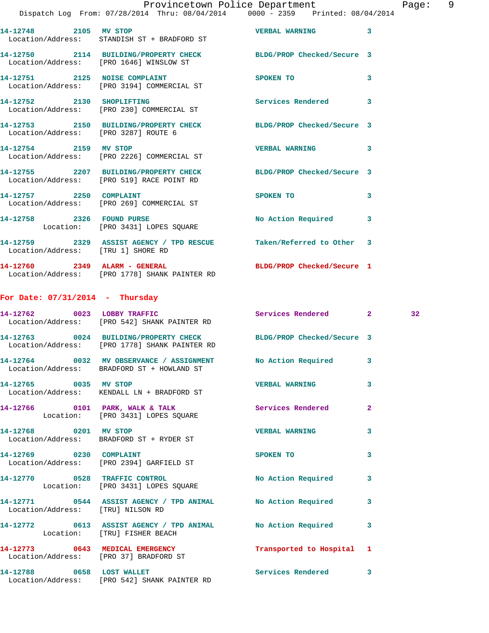|                                    | Dispatch Log From: 07/28/2014 Thru: 08/04/2014 0000 - 2359 Printed: 08/04/2014                                    | Provincetown Police Department Page: 9                                                                         |              |                 |  |
|------------------------------------|-------------------------------------------------------------------------------------------------------------------|----------------------------------------------------------------------------------------------------------------|--------------|-----------------|--|
| 14-12748 2105 MV STOP              | Location/Address: STANDISH ST + BRADFORD ST                                                                       | <b>VERBAL WARNING 3</b>                                                                                        |              |                 |  |
|                                    | 14-12750 2114 BUILDING/PROPERTY CHECK BLDG/PROP Checked/Secure 3<br>Location/Address: [PRO 1646] WINSLOW ST       |                                                                                                                |              |                 |  |
|                                    | 14-12751 2125 NOISE COMPLAINT<br>Location/Address: [PRO 3194] COMMERCIAL ST                                       | SPOKEN TO THE SPOKEN OF THE SPOKEN OF THE SPOKEN OF THE SPOKEN OF THE SPOKEN OF THE SPOKEN OF THE SPOKEN OF TH | 3            |                 |  |
|                                    | 14-12752 2130 SHOPLIFTING<br>Location/Address: [PRO 230] COMMERCIAL ST                                            | Services Rendered 3                                                                                            |              |                 |  |
|                                    | 14-12753 2150 BUILDING/PROPERTY CHECK BLDG/PROP Checked/Secure 3<br>Location/Address: [PRO 3287] ROUTE 6          |                                                                                                                |              |                 |  |
| 14-12754 2159 MV STOP              | Location/Address: [PRO 2226] COMMERCIAL ST                                                                        | VERBAL WARNING 3                                                                                               |              |                 |  |
|                                    | 14-12755 2207 BUILDING/PROPERTY CHECK BLDG/PROP Checked/Secure 3<br>Location/Address: [PRO 519] RACE POINT RD     |                                                                                                                |              |                 |  |
|                                    | 14-12757 2250 COMPLAINT<br>Location/Address: [PRO 269] COMMERCIAL ST                                              | SPOKEN TO                                                                                                      | 3            |                 |  |
|                                    | 14-12758 2326 FOUND PURSE<br>Location: [PRO 3431] LOPES SQUARE                                                    | No Action Required 3                                                                                           |              |                 |  |
| Location/Address: [TRU 1] SHORE RD | 14-12759 2329 ASSIST AGENCY / TPD RESCUE Taken/Referred to Other 3                                                |                                                                                                                |              |                 |  |
|                                    | 14-12760 2349 ALARM - GENERAL<br>Location/Address: [PRO 1778] SHANK PAINTER RD                                    | BLDG/PROP Checked/Secure 1                                                                                     |              |                 |  |
| For Date: $07/31/2014$ - Thursday  |                                                                                                                   |                                                                                                                |              |                 |  |
|                                    | 14-12762 0023 LOBBY TRAFFIC<br>Location/Address: [PRO 542] SHANK PAINTER RD                                       | Services Rendered 2                                                                                            |              | 32 <sub>1</sub> |  |
|                                    | 14-12763 0024 BUILDING/PROPERTY CHECK BLDG/PROP Checked/Secure 3<br>Location/Address: [PRO 1778] SHANK PAINTER RD |                                                                                                                |              |                 |  |
|                                    | 14-12764 0032 MV OBSERVANCE / ASSIGNMENT<br>Location/Address: BRADFORD ST + HOWLAND ST                            | No Action Required                                                                                             | 3            |                 |  |
| 14-12765 0035 MV STOP              | Location/Address: KENDALL LN + BRADFORD ST                                                                        | VERBAL WARNING 3                                                                                               |              |                 |  |
|                                    | 14-12766 0101 PARK, WALK & TALK Services Rendered 2<br>Location: [PRO 3431] LOPES SQUARE                          |                                                                                                                |              |                 |  |
| 14-12768 0201 MV STOP              | Location/Address: BRADFORD ST + RYDER ST                                                                          | <b>VERBAL WARNING</b>                                                                                          | $\mathbf{3}$ |                 |  |
|                                    | 14-12769 0230 COMPLAINT<br>Location/Address: [PRO 2394] GARFIELD ST                                               | SPOKEN TO                                                                                                      | 3            |                 |  |
|                                    | 14-12770 0528 TRAFFIC CONTROL<br>Location: [PRO 3431] LOPES SQUARE                                                | No Action Required 3                                                                                           |              |                 |  |
| Location/Address: [TRU] NILSON RD  | 14-12771 0544 ASSIST AGENCY / TPD ANIMAL No Action Required 3                                                     |                                                                                                                |              |                 |  |
| Location: [TRU] FISHER BEACH       | 14-12772 0613 ASSIST AGENCY / TPD ANIMAL No Action Required 3                                                     |                                                                                                                |              |                 |  |
|                                    | 14-12773 0643 MEDICAL EMERGENCY<br>Location/Address: [PRO 37] BRADFORD ST                                         | Transported to Hospital 1                                                                                      |              |                 |  |
|                                    | 14-12788 0658 LOST WALLET                                                                                         | Services Rendered 3                                                                                            |              |                 |  |

Location/Address: [PRO 542] SHANK PAINTER RD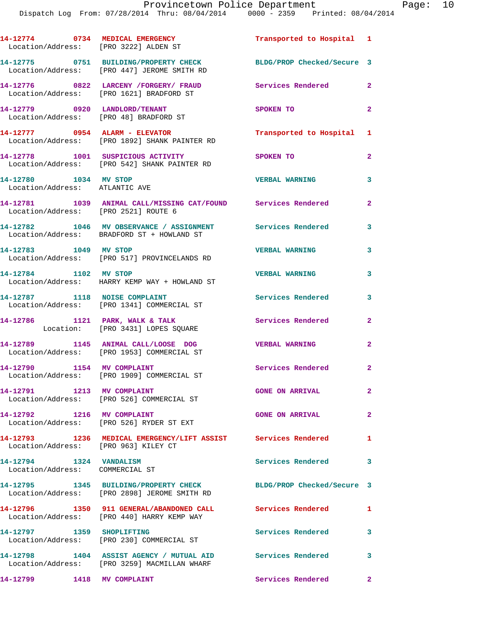**14-12774 0734 MEDICAL EMERGENCY Transported to Hospital 1**  Location/Address: [PRO 3222] ALDEN ST **14-12775 0751 BUILDING/PROPERTY CHECK BLDG/PROP Checked/Secure 3**  Location/Address: [PRO 447] JEROME SMITH RD **14-12776 0822 LARCENY /FORGERY/ FRAUD Services Rendered 2**  Location/Address: [PRO 1621] BRADFORD ST **14-12779 0920 LANDLORD/TENANT SPOKEN TO 2**  Location/Address: [PRO 48] BRADFORD ST **14-12777 0954 ALARM - ELEVATOR Transported to Hospital 1**  Location/Address: [PRO 1892] SHANK PAINTER RD **14-12778 1001 SUSPICIOUS ACTIVITY SPOKEN TO 2**  Location/Address: [PRO 542] SHANK PAINTER RD **14-12780 1034 MV STOP VERBAL WARNING 3**  Location/Address: ATLANTIC AVE **14-12781 1039 ANIMAL CALL/MISSING CAT/FOUND Services Rendered 2**  Location/Address: [PRO 2521] ROUTE 6 **14-12782 1046 MV OBSERVANCE / ASSIGNMENT Services Rendered 3**  Location/Address: BRADFORD ST + HOWLAND ST **14-12783 1049 MV STOP VERBAL WARNING 3**  Location/Address: [PRO 517] PROVINCELANDS RD **14-12784 1102 MV STOP VERBAL WARNING 3**  Location/Address: HARRY KEMP WAY + HOWLAND ST **14-12787 1118 NOISE COMPLAINT Services Rendered 3**  Location/Address: [PRO 1341] COMMERCIAL ST 14-12786 1121 PARK, WALK & TALK **Services Rendered** 2 Location: [PRO 3431] LOPES SQUARE **14-12789 1145 ANIMAL CALL/LOOSE DOG VERBAL WARNING 2**  Location/Address: [PRO 1953] COMMERCIAL ST **14-12790 1154 MV COMPLAINT Services Rendered 2**  Location/Address: [PRO 1909] COMMERCIAL ST **14-12791 1213 MV COMPLAINT GONE ON ARRIVAL 2**  Location/Address: [PRO 526] COMMERCIAL ST **14-12792 1216 MV COMPLAINT GONE ON ARRIVAL 2**  Location/Address: [PRO 526] RYDER ST EXT **14-12793 1236 MEDICAL EMERGENCY/LIFT ASSIST Services Rendered 1**  Location/Address: [PRO 963] KILEY CT **14-12794 1324 VANDALISM Services Rendered 3**  Location/Address: COMMERCIAL ST **14-12795 1345 BUILDING/PROPERTY CHECK BLDG/PROP Checked/Secure 3**  Location/Address: [PRO 2898] JEROME SMITH RD **14-12796 1350 911 GENERAL/ABANDONED CALL Services Rendered 1**  Location/Address: [PRO 440] HARRY KEMP WAY **14-12797 1359 SHOPLIFTING Services Rendered 3**  Location/Address: [PRO 230] COMMERCIAL ST **14-12798 1404 ASSIST AGENCY / MUTUAL AID Services Rendered 3**  Location/Address: [PRO 3259] MACMILLAN WHARF **14-12799 1418 MV COMPLAINT Services Rendered 2**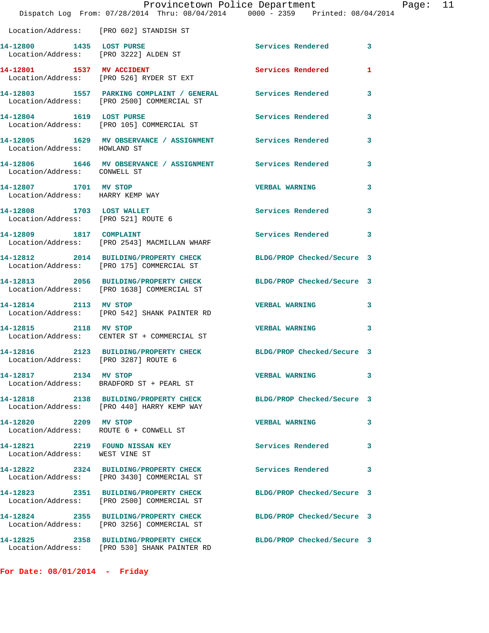|                                                                  | Dispatch Log From: 07/28/2014 Thru: 08/04/2014 0000 - 2359 Printed: 08/04/2014                                | Provincetown Police Department Page: 11 |              |  |
|------------------------------------------------------------------|---------------------------------------------------------------------------------------------------------------|-----------------------------------------|--------------|--|
|                                                                  | Location/Address: [PRO 602] STANDISH ST                                                                       |                                         |              |  |
| 14-12800 1435 LOST PURSE                                         | Location/Address: [PRO 3222] ALDEN ST                                                                         | Services Rendered 3                     |              |  |
|                                                                  | 14-12801 1537 MV ACCIDENT<br>Location/Address: [PRO 526] RYDER ST EXT                                         | <b>Services Rendered</b>                | $\mathbf{1}$ |  |
|                                                                  | 14-12803 1557 PARKING COMPLAINT / GENERAL Services Rendered 3<br>Location/Address: [PRO 2500] COMMERCIAL ST   |                                         |              |  |
|                                                                  | 14-12804 1619 LOST PURSE<br>Location/Address: [PRO 105] COMMERCIAL ST                                         | <b>Services Rendered</b>                | $\mathbf{3}$ |  |
| Location/Address: HOWLAND ST                                     | 14-12805 1629 MV OBSERVANCE / ASSIGNMENT Services Rendered 3                                                  |                                         |              |  |
| Location/Address: CONWELL ST                                     | 14-12806 1646 MV OBSERVANCE / ASSIGNMENT Services Rendered                                                    |                                         | $\mathbf{3}$ |  |
| 14-12807 1701 MV STOP<br>Location/Address: HARRY KEMP WAY        |                                                                                                               | VERBAL WARNING 3                        |              |  |
| 14-12808 1703 LOST WALLET<br>Location/Address: [PRO 521] ROUTE 6 |                                                                                                               | Services Rendered 3                     |              |  |
| 14-12809 1817 COMPLAINT                                          | Location/Address: [PRO 2543] MACMILLAN WHARF                                                                  | Services Rendered 3                     |              |  |
|                                                                  | 14-12812 2014 BUILDING/PROPERTY CHECK BLDG/PROP Checked/Secure 3<br>Location/Address: [PRO 175] COMMERCIAL ST |                                         |              |  |
|                                                                  | 14-12813 2056 BUILDING/PROPERTY CHECK<br>Location/Address: [PRO 1638] COMMERCIAL ST                           | BLDG/PROP Checked/Secure 3              |              |  |
|                                                                  | 14-12814 2113 MV STOP<br>Location/Address: [PRO 542] SHANK PAINTER RD                                         | VERBAL WARNING 3                        |              |  |
| 14-12815 2118 MV STOP                                            | Location/Address: CENTER ST + COMMERCIAL ST                                                                   | VERBAL WARNING 3                        |              |  |
| Location/Address: [PRO 3287] ROUTE 6                             | 14-12816 2123 BUILDING/PROPERTY CHECK BLDG/PROP Checked/Secure 3                                              |                                         |              |  |
| 14-12817 2134 MV STOP                                            | Location/Address: BRADFORD ST + PEARL ST                                                                      | VERBAL WARNING 3                        |              |  |
|                                                                  | 14-12818 2138 BUILDING/PROPERTY CHECK<br>Location/Address: [PRO 440] HARRY KEMP WAY                           | BLDG/PROP Checked/Secure 3              |              |  |
| 14-12820 2209 MV STOP                                            | Location/Address: ROUTE 6 + CONWELL ST                                                                        | <b>VERBAL WARNING</b>                   | -3           |  |
| Location/Address: WEST VINE ST                                   | 14-12821 2219 FOUND NISSAN KEY                                                                                | <b>Services Rendered</b>                | $\mathbf{3}$ |  |
|                                                                  | 14-12822 2324 BUILDING/PROPERTY CHECK<br>Location/Address: [PRO 3430] COMMERCIAL ST                           | Services Rendered                       | 3            |  |
|                                                                  | 14-12823 2351 BUILDING/PROPERTY CHECK<br>Location/Address: [PRO 2500] COMMERCIAL ST                           | BLDG/PROP Checked/Secure 3              |              |  |
|                                                                  | 14-12824 2355 BUILDING/PROPERTY CHECK<br>Location/Address: [PRO 3256] COMMERCIAL ST                           | BLDG/PROP Checked/Secure 3              |              |  |
|                                                                  | 14-12825 2358 BUILDING/PROPERTY CHECK<br>Location/Address: [PRO 530] SHANK PAINTER RD                         | BLDG/PROP Checked/Secure 3              |              |  |

**For Date: 08/01/2014 - Friday**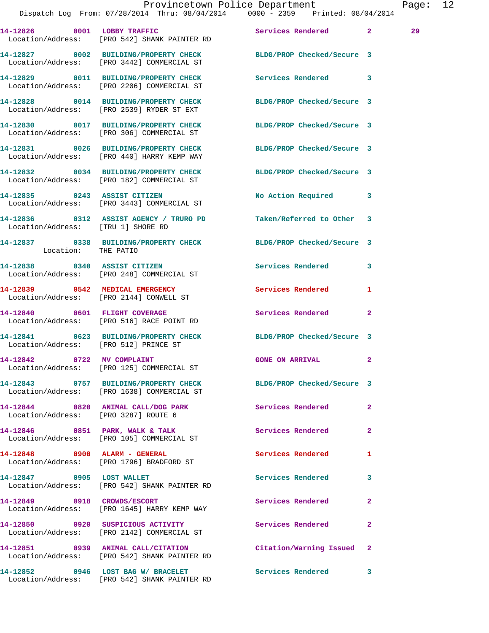|                                       | Dispatch Log From: 07/28/2014 Thru: 08/04/2014 0000 - 2359 Printed: 08/04/2014                                 | Provincetown Police Department Page: 12 |              |    |  |
|---------------------------------------|----------------------------------------------------------------------------------------------------------------|-----------------------------------------|--------------|----|--|
|                                       | 14-12826 0001 LOBBY TRAFFIC Services Rendered 2<br>Location/Address: [PRO 542] SHANK PAINTER RD                |                                         |              | 29 |  |
|                                       | 14-12827 0002 BUILDING/PROPERTY CHECK BLDG/PROP Checked/Secure 3<br>Location/Address: [PRO 3442] COMMERCIAL ST |                                         |              |    |  |
|                                       | 14-12829 0011 BUILDING/PROPERTY CHECK Services Rendered 3<br>Location/Address: [PRO 2206] COMMERCIAL ST        |                                         |              |    |  |
|                                       | 14-12828 0014 BUILDING/PROPERTY CHECK BLDG/PROP Checked/Secure 3<br>Location/Address: [PRO 2539] RYDER ST EXT  |                                         |              |    |  |
|                                       | 14-12830 0017 BUILDING/PROPERTY CHECK<br>Location/Address: [PRO 306] COMMERCIAL ST                             | BLDG/PROP Checked/Secure 3              |              |    |  |
|                                       | 14-12831 0026 BUILDING/PROPERTY CHECK BLDG/PROP Checked/Secure 3<br>Location/Address: [PRO 440] HARRY KEMP WAY |                                         |              |    |  |
|                                       | 14-12832 0034 BUILDING/PROPERTY CHECK BLDG/PROP Checked/Secure 3<br>Location/Address: [PRO 182] COMMERCIAL ST  |                                         |              |    |  |
|                                       | 14-12835 0243 ASSIST CITIZEN<br>Location/Address: [PRO 3443] COMMERCIAL ST                                     | No Action Required 3                    |              |    |  |
| Location/Address: [TRU 1] SHORE RD    | 14-12836 0312 ASSIST AGENCY / TRURO PD                                                                         | Taken/Referred to Other 3               |              |    |  |
| Location: THE PATIO                   | 14-12837 0338 BUILDING/PROPERTY CHECK BLDG/PROP Checked/Secure 3                                               |                                         |              |    |  |
|                                       | 14-12838 0340 ASSIST CITIZEN<br>Location/Address: [PRO 248] COMMERCIAL ST                                      | Services Rendered 3                     |              |    |  |
|                                       | 14-12839 0542 MEDICAL EMERGENCY<br>Location/Address: [PRO 2144] CONWELL ST                                     | <b>Services Rendered</b>                | 1            |    |  |
|                                       | 14-12840 0601 FLIGHT COVERAGE<br>Location/Address: [PRO 516] RACE POINT RD                                     | Services Rendered 2                     |              |    |  |
| Location/Address: [PRO 512] PRINCE ST | 14-12841 0623 BUILDING/PROPERTY CHECK BLDG/PROP Checked/Secure 3                                               |                                         |              |    |  |
| 14-12842 0722 MV COMPLAINT            | Location/Address: [PRO 125] COMMERCIAL ST                                                                      | GONE ON ARRIVAL 2                       |              |    |  |
|                                       | 14-12843 0757 BUILDING/PROPERTY CHECK BLDG/PROP Checked/Secure 3<br>Location/Address: [PRO 1638] COMMERCIAL ST |                                         |              |    |  |
| Location/Address: [PRO 3287] ROUTE 6  | 14-12844 0820 ANIMAL CALL/DOG PARK                                                                             | Services Rendered                       | $\mathbf{2}$ |    |  |
|                                       | 14-12846 0851 PARK, WALK & TALK<br>Location/Address: [PRO 105] COMMERCIAL ST                                   | Services Rendered                       | $\mathbf{2}$ |    |  |
|                                       | 14-12848 0900 ALARM - GENERAL<br>Location/Address: [PRO 1796] BRADFORD ST                                      | Services Rendered                       | 1            |    |  |
|                                       | 14-12847 0905 LOST WALLET<br>Location/Address: [PRO 542] SHANK PAINTER RD                                      | Services Rendered                       | 3            |    |  |
|                                       | 14-12849 0918 CROWDS/ESCORT<br>Location/Address: [PRO 1645] HARRY KEMP WAY                                     | Services Rendered 2                     |              |    |  |
|                                       | 14-12850 0920 SUSPICIOUS ACTIVITY Services Rendered<br>Location/Address: [PRO 2142] COMMERCIAL ST              |                                         | $\mathbf{2}$ |    |  |
|                                       | 14-12851 0939 ANIMAL CALL/CITATION Citation/Warning Issued 2<br>Location/Address: [PRO 542] SHANK PAINTER RD   |                                         |              |    |  |
|                                       | 14-12852 0946 LOST BAG W/ BRACELET                                                                             | Services Rendered 3                     |              |    |  |

Location/Address: [PRO 542] SHANK PAINTER RD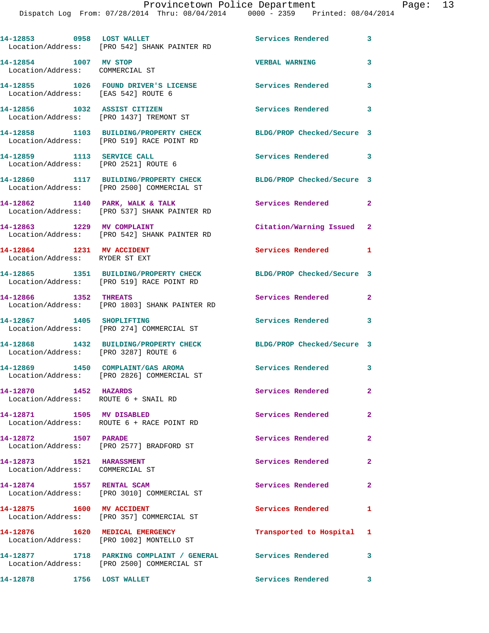Dispatch Log From: 07/28/2014 Thru: 08/04/2014 0000 - 2359 Printed: 08/04/2014

| 14-12853 0958 LOST WALLET                                          | Location/Address: [PRO 542] SHANK PAINTER RD                                                              | <b>Services Rendered</b>   | $\overline{\phantom{a}}$ 3 |
|--------------------------------------------------------------------|-----------------------------------------------------------------------------------------------------------|----------------------------|----------------------------|
| 14-12854 1007 MV STOP<br>Location/Address: COMMERCIAL ST           |                                                                                                           | <b>VERBAL WARNING</b>      | 3                          |
| Location/Address: [EAS 542] ROUTE 6                                | 14-12855 1026 FOUND DRIVER'S LICENSE                                                                      | Services Rendered          | $\overline{\mathbf{3}}$    |
|                                                                    | 14-12856 1032 ASSIST CITIZEN<br>Location/Address: [PRO 1437] TREMONT ST                                   | <b>Services Rendered</b>   | 3                          |
|                                                                    | 14-12858 1103 BUILDING/PROPERTY CHECK<br>Location/Address: [PRO 519] RACE POINT RD                        | BLDG/PROP Checked/Secure 3 |                            |
| 14-12859 1113 SERVICE CALL<br>Location/Address: [PRO 2521] ROUTE 6 |                                                                                                           | Services Rendered 3        |                            |
|                                                                    | 14-12860 1117 BUILDING/PROPERTY CHECK<br>Location/Address: [PRO 2500] COMMERCIAL ST                       | BLDG/PROP Checked/Secure 3 |                            |
|                                                                    | 14-12862 1140 PARK, WALK & TALK<br>Location/Address: [PRO 537] SHANK PAINTER RD                           | Services Rendered 2        |                            |
| 14-12863 1229 MV COMPLAINT                                         | Location/Address: [PRO 542] SHANK PAINTER RD                                                              | Citation/Warning Issued 2  |                            |
| 14-12864 1231 MV ACCIDENT<br>Location/Address: RYDER ST EXT        |                                                                                                           | Services Rendered 1        |                            |
|                                                                    | 14-12865 1351 BUILDING/PROPERTY CHECK<br>Location/Address: [PRO 519] RACE POINT RD                        | BLDG/PROP Checked/Secure 3 |                            |
| 14-12866 1352 THREATS                                              | Location/Address: [PRO 1803] SHANK PAINTER RD                                                             | Services Rendered          | $\mathbf{2}$               |
| 14-12867 1405 SHOPLIFTING                                          | Location/Address: [PRO 274] COMMERCIAL ST                                                                 | Services Rendered          | $\mathbf{3}$               |
| Location/Address: [PRO 3287] ROUTE 6                               | 14-12868 1432 BUILDING/PROPERTY CHECK                                                                     | BLDG/PROP Checked/Secure 3 |                            |
|                                                                    | 14-12869 1450 COMPLAINT/GAS AROMA<br>Location/Address: [PRO 2826] COMMERCIAL ST                           | <b>Services Rendered</b> 3 |                            |
| 14-12870 1452 HAZARDS<br>Location/Address: ROUTE 6 + SNAIL RD      |                                                                                                           | Services Rendered          | $\mathbf{2}$               |
| 14-12871 1505 MV DISABLED                                          | Location/Address: ROUTE 6 + RACE POINT RD                                                                 | Services Rendered          | $\mathbf{2}$               |
| 14-12872 1507 PARADE                                               | Location/Address: [PRO 2577] BRADFORD ST                                                                  | Services Rendered          | $\mathbf{2}$               |
| 14-12873 1521 HARASSMENT<br>Location/Address: COMMERCIAL ST        |                                                                                                           | Services Rendered          | $\mathbf{2}$               |
| 14-12874 1557 RENTAL SCAM                                          | Location/Address: [PRO 3010] COMMERCIAL ST                                                                | Services Rendered          | $\overline{2}$             |
| 14-12875 1600 MV ACCIDENT                                          | Location/Address: [PRO 357] COMMERCIAL ST                                                                 | <b>Services Rendered</b>   | 1                          |
| 14-12876 1620 MEDICAL EMERGENCY                                    | Location/Address: [PRO 1002] MONTELLO ST                                                                  | Transported to Hospital 1  |                            |
|                                                                    | 14-12877 1718 PARKING COMPLAINT / GENERAL Services Rendered<br>Location/Address: [PRO 2500] COMMERCIAL ST |                            | $\mathbf{3}$               |
| 14-12878 1756 LOST WALLET                                          |                                                                                                           | Services Rendered 3        |                            |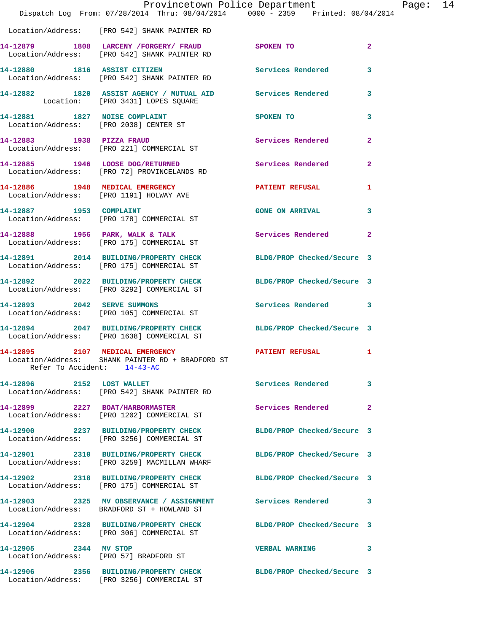|                             | Dispatch Log From: 07/28/2014 Thru: 08/04/2014 0000 - 2359 Printed: 08/04/2014                                                         | Provincetown Police Department | Page: 14       |
|-----------------------------|----------------------------------------------------------------------------------------------------------------------------------------|--------------------------------|----------------|
|                             | Location/Address: [PRO 542] SHANK PAINTER RD                                                                                           |                                |                |
|                             | 14-12879 1808 LARCENY / FORGERY / FRAUD SPOKEN TO<br>Location/Address: [PRO 542] SHANK PAINTER RD                                      |                                | $\overline{2}$ |
|                             | 14-12880 1816 ASSIST CITIZEN<br>Location/Address: [PRO 542] SHANK PAINTER RD                                                           | <b>Services Rendered</b>       | 3              |
|                             | 14-12882 1820 ASSIST AGENCY / MUTUAL AID Services Rendered 3<br>Location: [PRO 3431] LOPES SQUARE                                      |                                |                |
|                             | 14-12881 1827 NOISE COMPLAINT<br>Location/Address: [PRO 2038] CENTER ST                                                                | SPOKEN TO                      | 3              |
|                             | 14-12883 1938 PIZZA FRAUD<br>Location/Address: [PRO 221] COMMERCIAL ST                                                                 | Services Rendered              | $\mathbf{2}$   |
|                             | 14-12885 1946 LOOSE DOG/RETURNED<br>Location/Address: [PRO 72] PROVINCELANDS RD                                                        | Services Rendered 2            |                |
|                             | 14-12886 1948 MEDICAL EMERGENCY<br>Location/Address: [PRO 1191] HOLWAY AVE                                                             | PATIENT REFUSAL                | 1              |
|                             | 14-12887 1953 COMPLAINT<br>Location/Address: [PRO 178] COMMERCIAL ST                                                                   | GONE ON ARRIVAL 3              |                |
|                             | 14-12888 1956 PARK, WALK & TALK<br>Location/Address: [PRO 175] COMMERCIAL ST                                                           | Services Rendered              | $\mathbf{2}$   |
|                             | 14-12891 2014 BUILDING/PROPERTY CHECK BLDG/PROP Checked/Secure 3<br>Location/Address: [PRO 175] COMMERCIAL ST                          |                                |                |
|                             | 14-12892 2022 BUILDING/PROPERTY CHECK BLDG/PROP Checked/Secure 3<br>Location/Address: [PRO 3292] COMMERCIAL ST                         |                                |                |
| 14-12893 2042 SERVE SUMMONS | Location/Address: [PRO 105] COMMERCIAL ST                                                                                              | Services Rendered 3            |                |
|                             | 14-12894 2047 BUILDING/PROPERTY CHECK BLDG/PROP Checked/Secure 3<br>Location/Address: [PRO 1638] COMMERCIAL ST                         |                                |                |
|                             | 14-12895 2107 MEDICAL EMERGENCY PATIENT REFUSAL 1<br>Location/Address: SHANK PAINTER RD + BRADFORD ST<br>Refer To Accident: $14-43-AC$ |                                |                |
|                             | 14-12896 2152 LOST WALLET<br>Location/Address: [PRO 542] SHANK PAINTER RD                                                              | Services Rendered              | 3              |
|                             | 14-12899 2227 BOAT/HARBORMASTER<br>Location/Address: [PRO 1202] COMMERCIAL ST                                                          | Services Rendered              | $\mathbf{2}$   |
|                             | 14-12900 2237 BUILDING/PROPERTY CHECK BLDG/PROP Checked/Secure 3<br>Location/Address: [PRO 3256] COMMERCIAL ST                         |                                |                |
|                             | 14-12901 2310 BUILDING/PROPERTY CHECK<br>Location/Address: [PRO 3259] MACMILLAN WHARF                                                  | BLDG/PROP Checked/Secure 3     |                |
|                             | 14-12902 2318 BUILDING/PROPERTY CHECK<br>Location/Address: [PRO 175] COMMERCIAL ST                                                     | BLDG/PROP Checked/Secure 3     |                |
|                             | 14-12903 2325 MV OBSERVANCE / ASSIGNMENT Services Rendered 3<br>Location/Address: BRADFORD ST + HOWLAND ST                             |                                |                |
|                             | 14-12904 2328 BUILDING/PROPERTY CHECK<br>Location/Address: [PRO 306] COMMERCIAL ST                                                     | BLDG/PROP Checked/Secure 3     |                |
| 14-12905 2344 MV STOP       | Location/Address: [PRO 57] BRADFORD ST                                                                                                 | <b>VERBAL WARNING</b>          | 3              |
|                             | 14-12906 2356 BUILDING/PROPERTY CHECK BLDG/PROP Checked/Secure 3<br>Location/Address: [PRO 3256] COMMERCIAL ST                         |                                |                |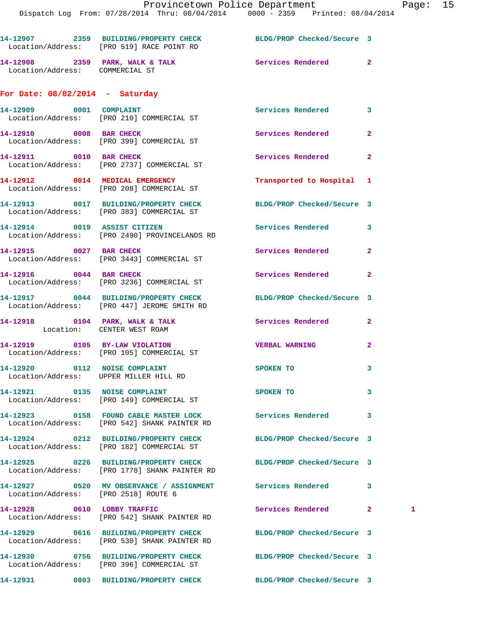|                                   | 14-12907 2359 BUILDING/PROPERTY CHECK BLDG/PROP Checked/Secure 3<br>Location/Address: [PRO 519] RACE POINT RD |                            |                |   |
|-----------------------------------|---------------------------------------------------------------------------------------------------------------|----------------------------|----------------|---|
| Location/Address: COMMERCIAL ST   | 14-12908 2359 PARK, WALK & TALK                                                                               | Services Rendered          | $\overline{2}$ |   |
| For Date: $08/02/2014$ - Saturday |                                                                                                               |                            |                |   |
| 14-12909 0001 COMPLAINT           | Location/Address: [PRO 210] COMMERCIAL ST                                                                     | Services Rendered          | 3              |   |
|                                   | 14-12910 0008 BAR CHECK<br>Location/Address: [PRO 399] COMMERCIAL ST                                          | Services Rendered          | $\mathbf{2}$   |   |
| 14-12911 0010 BAR CHECK           | Location/Address: [PRO 2737] COMMERCIAL ST                                                                    | Services Rendered          | $\overline{a}$ |   |
|                                   | 14-12912 0014 MEDICAL EMERGENCY<br>Location/Address: [PRO 208] COMMERCIAL ST                                  | Transported to Hospital 1  |                |   |
|                                   | 14-12913 0017 BUILDING/PROPERTY CHECK<br>Location/Address: [PRO 383] COMMERCIAL ST                            | BLDG/PROP Checked/Secure 3 |                |   |
|                                   | 14-12914 0019 ASSIST CITIZEN<br>Location/Address: [PRO 2490] PROVINCELANDS RD                                 | <b>Services Rendered</b>   | 3              |   |
| 14-12915 0027 BAR CHECK           | Location/Address: [PRO 3443] COMMERCIAL ST                                                                    | Services Rendered          | $\mathbf{2}$   |   |
|                                   | 14-12916 0044 BAR CHECK<br>Location/Address: [PRO 3236] COMMERCIAL ST                                         | Services Rendered          | $\overline{2}$ |   |
|                                   | 14-12917 0044 BUILDING/PROPERTY CHECK<br>Location/Address: [PRO 447] JEROME SMITH RD                          | BLDG/PROP Checked/Secure 3 |                |   |
|                                   | 14-12918 0104 PARK, WALK & TALK<br>Location: CENTER WEST ROAM                                                 | Services Rendered          | $\mathbf{2}$   |   |
|                                   | 14-12919 0105 BY-LAW VIOLATION<br>Location/Address: [PRO 105] COMMERCIAL ST                                   | <b>VERBAL WARNING</b>      | $\mathbf{2}$   |   |
|                                   | 14-12920 0112 NOISE COMPLAINT<br>Location/Address: UPPER MILLER HILL RD                                       | SPOKEN TO                  | 3              |   |
|                                   | 14-12921 0135 NOISE COMPLAINT<br>Location/Address: [PRO 149] COMMERCIAL ST                                    | SPOKEN TO                  | 3              |   |
|                                   | 14-12923 0158 FOUND CABLE MASTER LOCK<br>Location/Address: [PRO 542] SHANK PAINTER RD                         | <b>Services Rendered</b>   | 3              |   |
|                                   | 14-12924 0212 BUILDING/PROPERTY CHECK<br>Location/Address: [PRO 182] COMMERCIAL ST                            | BLDG/PROP Checked/Secure 3 |                |   |
|                                   | 14-12925 0226 BUILDING/PROPERTY CHECK<br>Location/Address: [PRO 1778] SHANK PAINTER RD                        | BLDG/PROP Checked/Secure 3 |                |   |
|                                   | 14-12927 0520 MV OBSERVANCE / ASSIGNMENT Services Rendered<br>Location/Address: [PRO 2518] ROUTE 6            |                            | 3              |   |
| 14-12928 0610 LOBBY TRAFFIC       | Location/Address: [PRO 542] SHANK PAINTER RD                                                                  | Services Rendered          | $\mathbf{2}$   | 1 |
|                                   | 14-12929 0616 BUILDING/PROPERTY CHECK<br>Location/Address: [PRO 530] SHANK PAINTER RD                         | BLDG/PROP Checked/Secure 3 |                |   |
|                                   | 14-12930 0756 BUILDING/PROPERTY CHECK                                                                         | BLDG/PROP Checked/Secure 3 |                |   |
|                                   | Location/Address: [PRO 396] COMMERCIAL ST<br>14-12931 0803 BUILDING/PROPERTY CHECK BLDG/PROP Checked/Secure 3 |                            |                |   |
|                                   |                                                                                                               |                            |                |   |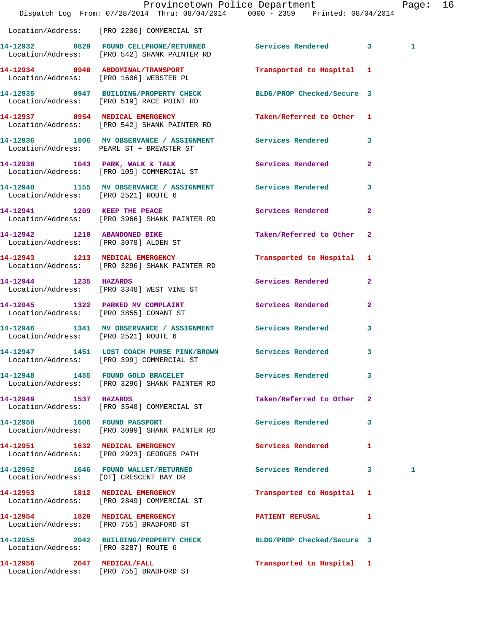|                                      | Dispatch Log From: 07/28/2014 Thru: 08/04/2014 0000 - 2359 Printed: 08/04/2014                                | Provincetown Police Department |              | Page: 16     |  |
|--------------------------------------|---------------------------------------------------------------------------------------------------------------|--------------------------------|--------------|--------------|--|
|                                      | Location/Address: [PRO 2206] COMMERCIAL ST                                                                    |                                |              |              |  |
|                                      | 14-12932 0829 FOUND CELLPHONE/RETURNED Services Rendered 3<br>Location/Address: [PRO 542] SHANK PAINTER RD    |                                |              | $\mathbf{1}$ |  |
|                                      | 14-12934 0940 ABDOMINAL/TRANSPORT<br>Location/Address: [PRO 1606] WEBSTER PL                                  | Transported to Hospital 1      |              |              |  |
|                                      | 14-12935 0947 BUILDING/PROPERTY CHECK BLDG/PROP Checked/Secure 3<br>Location/Address: [PRO 519] RACE POINT RD |                                |              |              |  |
|                                      | 14-12937 0954 MEDICAL EMERGENCY<br>Location/Address: [PRO 542] SHANK PAINTER RD                               | Taken/Referred to Other 1      |              |              |  |
|                                      | 14-12936 1006 MV OBSERVANCE / ASSIGNMENT Services Rendered 3<br>Location/Address: PEARL ST + BREWSTER ST      |                                |              |              |  |
|                                      | 14-12938 1043 PARK, WALK & TALK<br>Location/Address: [PRO 105] COMMERCIAL ST                                  | Services Rendered              | $\mathbf{2}$ |              |  |
| Location/Address: [PRO 2521] ROUTE 6 | 14-12940 1155 MV OBSERVANCE / ASSIGNMENT Services Rendered                                                    |                                | $\mathbf{3}$ |              |  |
|                                      | 14-12941 1209 KEEP THE PEACE<br>Location/Address: [PRO 3966] SHANK PAINTER RD                                 | Services Rendered 2            |              |              |  |
|                                      | 14-12942 1210 ABANDONED BIKE<br>Location/Address: [PRO 3078] ALDEN ST                                         | Taken/Referred to Other 2      |              |              |  |
|                                      | 14-12943 1213 MEDICAL EMERGENCY<br>Location/Address: [PRO 3296] SHANK PAINTER RD                              | Transported to Hospital 1      |              |              |  |
| 14-12944 1235 HAZARDS                | Location/Address: [PRO 3348] WEST VINE ST                                                                     | Services Rendered              | $\mathbf{2}$ |              |  |
|                                      | 14-12945 1322 PARKED MV COMPLAINT Services Rendered 2<br>Location/Address: [PRO 3855] CONANT ST               |                                |              |              |  |
| Location/Address: [PRO 2521] ROUTE 6 | 14-12946 1341 MV OBSERVANCE / ASSIGNMENT Services Rendered                                                    |                                | $\mathbf{3}$ |              |  |
|                                      | 14-12947 1451 LOST COACH PURSE PINK/BROWN Services Rendered 3<br>Location/Address: [PRO 399] COMMERCIAL ST    |                                |              |              |  |
|                                      | 14-12948 1455 FOUND GOLD BRACELET Services Rendered<br>Location/Address: [PRO 3296] SHANK PAINTER RD          |                                | 3            |              |  |
| 14-12949 1537 HAZARDS                | Location/Address: [PRO 3548] COMMERCIAL ST                                                                    | Taken/Referred to Other 2      |              |              |  |
|                                      | 14-12950 1606 FOUND PASSPORT<br>Location/Address: [PRO 3099] SHANK PAINTER RD                                 | Services Rendered              | 3            |              |  |
|                                      | 14-12951 1632 MEDICAL EMERGENCY<br>Location/Address: [PRO 2923] GEORGES PATH                                  | <b>Services Rendered</b>       | $\mathbf{1}$ |              |  |
|                                      | 14-12952 1646 FOUND WALLET/RETURNED<br>Location/Address: [OT] CRESCENT BAY DR                                 | Services Rendered 3            |              | 1            |  |
|                                      | 14-12953 1812 MEDICAL EMERGENCY<br>Location/Address: [PRO 2849] COMMERCIAL ST                                 | Transported to Hospital 1      |              |              |  |
|                                      | 14-12954 1820 MEDICAL EMERGENCY<br>Location/Address: [PRO 755] BRADFORD ST                                    | <b>PATIENT REFUSAL</b>         | 1            |              |  |
| Location/Address: [PRO 3287] ROUTE 6 | 14-12955 2042 BUILDING/PROPERTY CHECK BLDG/PROP Checked/Secure 3                                              |                                |              |              |  |
|                                      | 14-12956 2047 MEDICAL/FALL<br>Location/Address: [PRO 755] BRADFORD ST                                         | Transported to Hospital 1      |              |              |  |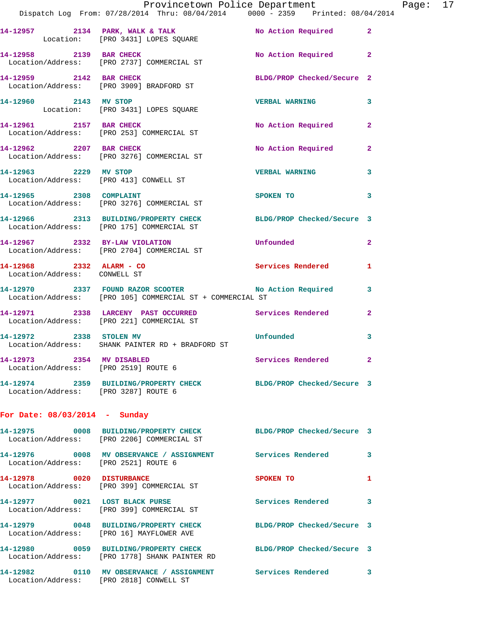|                                                                   | Provincetown Police Department Fage: 17<br>Dispatch Log From: 07/28/2014 Thru: 08/04/2014   0000 - 2359   Printed: 08/04/2014 |                            |              |  |
|-------------------------------------------------------------------|-------------------------------------------------------------------------------------------------------------------------------|----------------------------|--------------|--|
|                                                                   | 14-12957 2134 PARK, WALK & TALK NO Action Required 2<br>Location: [PRO 3431] LOPES SQUARE                                     |                            |              |  |
|                                                                   | 14-12958 2139 BAR CHECK No Action Required 2<br>Location/Address: [PRO 2737] COMMERCIAL ST                                    |                            |              |  |
|                                                                   | 14-12959 2142 BAR CHECK<br>Location/Address: [PRO 3909] BRADFORD ST                                                           | BLDG/PROP Checked/Secure 2 |              |  |
| 14-12960 2143 MV STOP                                             | Location: [PRO 3431] LOPES SQUARE                                                                                             | <b>VERBAL WARNING</b> 3    |              |  |
|                                                                   | 14-12961 2157 BAR CHECK<br>Location/Address: [PRO 253] COMMERCIAL ST                                                          | No Action Required 2       |              |  |
|                                                                   | 14-12962 2207 BAR CHECK No Action Required 2<br>Location/Address: [PRO 3276] COMMERCIAL ST                                    |                            |              |  |
|                                                                   | 14-12963 2229 MV STOP<br>Location/Address: [PRO 413] CONWELL ST                                                               | <b>VERBAL WARNING 3</b>    |              |  |
|                                                                   | 14-12965 2308 COMPLAINT SPOKEN TO<br>Location/Address: [PRO 3276] COMMERCIAL ST                                               |                            | 3            |  |
|                                                                   | 14-12966 2313 BUILDING/PROPERTY CHECK BLDG/PROP Checked/Secure 3<br>Location/Address: [PRO 175] COMMERCIAL ST                 |                            |              |  |
|                                                                   | 14-12967 2332 BY-LAW VIOLATION Unfounded<br>Location/Address: [PRO 2704] COMMERCIAL ST                                        |                            | $\mathbf{2}$ |  |
| Location/Address: CONWELL ST                                      | 14-12968 2332 ALARM - CO Services Rendered 1                                                                                  |                            |              |  |
|                                                                   | 14-12970 2337 FOUND RAZOR SCOOTER No Action Required 3<br>Location/Address: [PRO 105] COMMERCIAL ST + COMMERCIAL ST           |                            |              |  |
|                                                                   | 14-12971 2338 LARCENY PAST OCCURRED Services Rendered 2<br>Location/Address: [PRO 221] COMMERCIAL ST                          |                            |              |  |
|                                                                   | 14-12972 2338 STOLEN MV Unfounded<br>Location/Address: SHANK PAINTER RD + BRADFORD ST                                         |                            | $\mathbf{3}$ |  |
| 14-12973 2354 MV DISABLED<br>Location/Address: [PRO 2519] ROUTE 6 |                                                                                                                               | Services Rendered 2        |              |  |
| Location/Address: [PRO 3287] ROUTE 6                              | 14-12974 2359 BUILDING/PROPERTY CHECK BLDG/PROP Checked/Secure 3                                                              |                            |              |  |
| For Date: $08/03/2014$ - Sunday                                   |                                                                                                                               |                            |              |  |
|                                                                   | 14-12975 0008 BUILDING/PROPERTY CHECK BLDG/PROP Checked/Secure 3<br>Location/Address: [PRO 2206] COMMERCIAL ST                |                            |              |  |
| Location/Address: [PRO 2521] ROUTE 6                              | 14-12976 0008 MV OBSERVANCE / ASSIGNMENT Services Rendered 3                                                                  |                            |              |  |
|                                                                   | 14-12978 0020 DISTURBANCE<br>Location/Address: [PRO 399] COMMERCIAL ST                                                        | SPOKEN TO                  | 1            |  |
|                                                                   | 14-12977 0021 LOST BLACK PURSE<br>Location/Address: [PRO 399] COMMERCIAL ST                                                   | Services Rendered 3        |              |  |
|                                                                   | 14-12979 0048 BUILDING/PROPERTY CHECK<br>Location/Address: [PRO 16] MAYFLOWER AVE                                             | BLDG/PROP Checked/Secure 3 |              |  |
|                                                                   | 14-12980 0059 BUILDING/PROPERTY CHECK BLDG/PROP Checked/Secure 3<br>Location/Address: [PRO 1778] SHANK PAINTER RD             |                            |              |  |
|                                                                   | 14-12982 0110 MV OBSERVANCE / ASSIGNMENT Services Rendered 3<br>Location/Address: [PRO 2818] CONWELL ST                       |                            |              |  |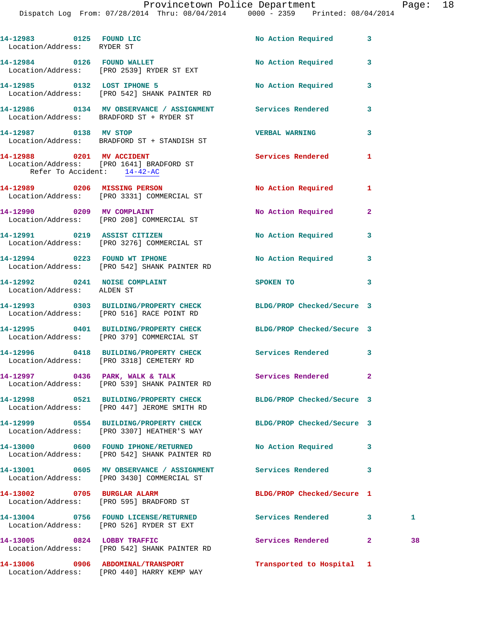Dispatch Log From: 07/28/2014 Thru: 08/04/2014 0000 - 2359 Printed: 08/04/2014

| 14-12983 0125 FOUND LIC<br>Location/Address: RYDER ST       |                                                                                                               | No Action Required 3       |              |    |
|-------------------------------------------------------------|---------------------------------------------------------------------------------------------------------------|----------------------------|--------------|----|
|                                                             | 14-12984 0126 FOUND WALLET<br>Location/Address: [PRO 2539] RYDER ST EXT                                       | No Action Required 3       |              |    |
|                                                             | 14-12985 0132 LOST IPHONE 5<br>Location/Address: [PRO 542] SHANK PAINTER RD                                   | No Action Required 3       |              |    |
|                                                             | 14-12986 0134 MV OBSERVANCE / ASSIGNMENT Services Rendered<br>Location/Address: BRADFORD ST + RYDER ST        |                            | 3            |    |
| 14-12987 0138 MV STOP                                       | Location/Address: BRADFORD ST + STANDISH ST                                                                   | VERBAL WARNING 3           |              |    |
| Refer To Accident: 14-42-AC                                 | 14-12988 0201 MV ACCIDENT<br>Location/Address: [PRO 1641] BRADFORD ST                                         | Services Rendered          | 1            |    |
|                                                             | 14-12989 0206 MISSING PERSON<br>Location/Address: [PRO 3331] COMMERCIAL ST                                    | No Action Required 1       |              |    |
|                                                             | 14-12990 0209 MV COMPLAINT<br>Location/Address: [PRO 208] COMMERCIAL ST                                       | No Action Required         | $\mathbf{2}$ |    |
|                                                             | 14-12991 0219 ASSIST CITIZEN<br>Location/Address: [PRO 3276] COMMERCIAL ST                                    | No Action Required 3       |              |    |
|                                                             | 14-12994 0223 FOUND WT IPHONE<br>Location/Address: [PRO 542] SHANK PAINTER RD                                 | No Action Required 3       |              |    |
| 14-12992 0241 NOISE COMPLAINT<br>Location/Address: ALDEN ST |                                                                                                               | <b>SPOKEN TO</b>           | 3            |    |
|                                                             | 14-12993 0303 BUILDING/PROPERTY CHECK BLDG/PROP Checked/Secure 3<br>Location/Address: [PRO 516] RACE POINT RD |                            |              |    |
|                                                             | 14-12995 0401 BUILDING/PROPERTY CHECK BLDG/PROP Checked/Secure 3<br>Location/Address: [PRO 379] COMMERCIAL ST |                            |              |    |
|                                                             | 14-12996 0418 BUILDING/PROPERTY CHECK Services Rendered 3<br>Location/Address: [PRO 3318] CEMETERY RD         |                            |              |    |
| 14-12997 0436 PARK, WALK & TALK                             | Location/Address: [PRO 539] SHANK PAINTER RD                                                                  | Services Rendered          | 2            |    |
|                                                             | 14-12998 0521 BUILDING/PROPERTY CHECK<br>Location/Address: [PRO 447] JEROME SMITH RD                          | BLDG/PROP Checked/Secure 3 |              |    |
|                                                             | 14-12999 0554 BUILDING/PROPERTY CHECK<br>Location/Address: [PRO 3307] HEATHER'S WAY                           | BLDG/PROP Checked/Secure 3 |              |    |
|                                                             | 14-13000 0600 FOUND IPHONE/RETURNED<br>Location/Address: [PRO 542] SHANK PAINTER RD                           | No Action Required         | 3            |    |
|                                                             | 14-13001 0605 MV OBSERVANCE / ASSIGNMENT Services Rendered<br>Location/Address: [PRO 3430] COMMERCIAL ST      |                            | 3            |    |
| 14-13002 0705 BURGLAR ALARM                                 | Location/Address: [PRO 595] BRADFORD ST                                                                       | BLDG/PROP Checked/Secure 1 |              |    |
|                                                             | 14-13004 0756 FOUND LICENSE/RETURNED<br>Location/Address: [PRO 526] RYDER ST EXT                              | Services Rendered          | $\mathbf{3}$ | 1  |
| 14-13005 0824 LOBBY TRAFFIC                                 | Location/Address: [PRO 542] SHANK PAINTER RD                                                                  | Services Rendered 2        |              | 38 |
|                                                             | 14-13006 0906 ABDOMINAL/TRANSPORT                                                                             | Transported to Hospital 1  |              |    |

Location/Address: [PRO 440] HARRY KEMP WAY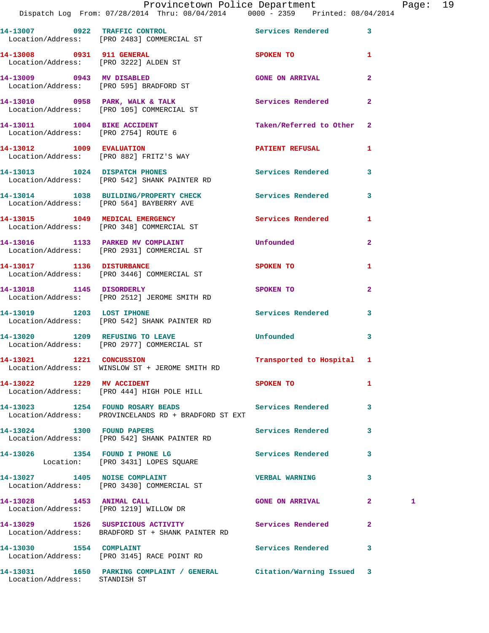|                               | Provincetown Police Department Fage: 19<br>Dispatch Log From: 07/28/2014 Thru: 08/04/2014   0000 - 2359   Printed: 08/04/2014 |                           |              |   |  |
|-------------------------------|-------------------------------------------------------------------------------------------------------------------------------|---------------------------|--------------|---|--|
|                               | 14-13007 0922 TRAFFIC CONTROL Services Rendered 3<br>Location/Address: [PRO 2483] COMMERCIAL ST                               |                           |              |   |  |
|                               | 14-13008 0931 911 GENERAL<br>Location/Address: [PRO 3222] ALDEN ST                                                            | SPOKEN TO                 | $\mathbf{1}$ |   |  |
|                               | 14-13009 0943 MV DISABLED<br>Location/Address: [PRO 595] BRADFORD ST                                                          | <b>GONE ON ARRIVAL</b>    | $\mathbf{2}$ |   |  |
|                               | 14-13010 0958 PARK, WALK & TALK (2008) Services Rendered Location/Address: [PRO 105] COMMERCIAL ST                            |                           | $\mathbf{2}$ |   |  |
|                               | 14-13011 1004 BIKE ACCIDENT<br>Location/Address: [PRO 2754] ROUTE 6                                                           | Taken/Referred to Other 2 |              |   |  |
|                               | 14-13012 1009 EVALUATION<br>Location/Address: [PRO 882] FRITZ'S WAY                                                           | PATIENT REFUSAL           | 1            |   |  |
|                               | 14-13013 1024 DISPATCH PHONES<br>Location/Address: [PRO 542] SHANK PAINTER RD                                                 | Services Rendered 3       |              |   |  |
|                               | 14-13014 1038 BUILDING/PROPERTY CHECK Services Rendered<br>Location/Address: [PRO 564] BAYBERRY AVE                           |                           | 3            |   |  |
|                               | 14-13015 1049 MEDICAL EMERGENCY Services Rendered 1<br>Location/Address: [PRO 348] COMMERCIAL ST                              |                           |              |   |  |
|                               | 14-13016 1133 PARKED MV COMPLAINT Unfounded<br>Location/Address: [PRO 2931] COMMERCIAL ST                                     |                           | $\mathbf{2}$ |   |  |
|                               | 14-13017 1136 DISTURBANCE<br>Location/Address: [PRO 3446] COMMERCIAL ST                                                       | <b>SPOKEN TO</b>          | 1            |   |  |
|                               | 14-13018 1145 DISORDERLY<br>Location/Address: [PRO 2512] JEROME SMITH RD                                                      | SPOKEN TO                 | $\mathbf{2}$ |   |  |
| 14-13019 1203 LOST IPHONE     | Location/Address: [PRO 542] SHANK PAINTER RD                                                                                  | Services Rendered 3       |              |   |  |
|                               | 14-13020 1209 REFUSING TO LEAVE<br>Location/Address: [PRO 2977] COMMERCIAL ST                                                 | <b>Unfounded</b>          | 3            |   |  |
| 14-13021 1221 CONCUSSION      | Location/Address: WINSLOW ST + JEROME SMITH RD                                                                                | Transported to Hospital 1 |              |   |  |
| 14-13022 1229 MV ACCIDENT     | Location/Address: [PRO 444] HIGH POLE HILL                                                                                    | SPOKEN TO                 | 1            |   |  |
|                               | 14-13023 1254 FOUND ROSARY BEADS<br>Location/Address: PROVINCELANDS RD + BRADFORD ST EXT                                      | Services Rendered         | 3            |   |  |
|                               | 14-13024 1300 FOUND PAPERS<br>Location/Address: [PRO 542] SHANK PAINTER RD                                                    | Services Rendered         | 3            |   |  |
|                               | 14-13026 1354 FOUND I PHONE LG<br>Location: [PRO 3431] LOPES SQUARE                                                           | <b>Services Rendered</b>  | $\mathbf{3}$ |   |  |
|                               | 14-13027 1405 NOISE COMPLAINT<br>Location/Address: [PRO 3430] COMMERCIAL ST                                                   | <b>VERBAL WARNING</b>     | 3            |   |  |
| 14-13028 1453 ANIMAL CALL     | Location/Address: [PRO 1219] WILLOW DR                                                                                        | <b>GONE ON ARRIVAL</b>    | $\mathbf{2}$ | 1 |  |
|                               | 14-13029 1526 SUSPICIOUS ACTIVITY 1991 Services Rendered<br>Location/Address: BRADFORD ST + SHANK PAINTER RD                  |                           | 2            |   |  |
| 14-13030 1554 COMPLAINT       | Location/Address: [PRO 3145] RACE POINT RD                                                                                    | Services Rendered         | 3            |   |  |
| Location/Address: STANDISH ST | 14-13031 1650 PARKING COMPLAINT / GENERAL Citation/Warning Issued 3                                                           |                           |              |   |  |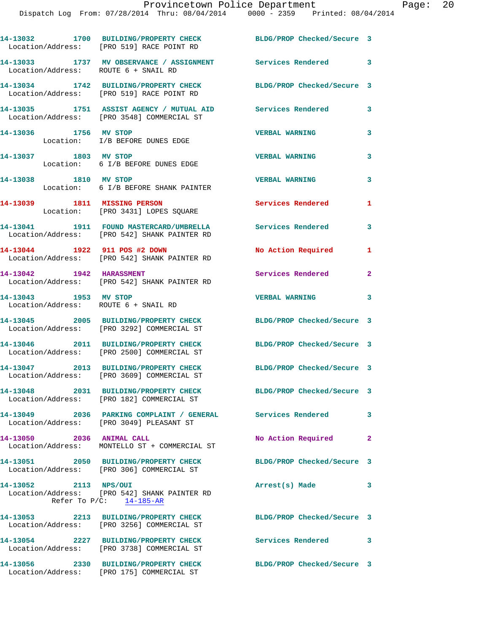|                                                               | 14-13032 1700 BUILDING/PROPERTY CHECK BLDG/PROP Checked/Secure 3<br>Location/Address: [PRO 519] RACE POINT RD |                            |                         |
|---------------------------------------------------------------|---------------------------------------------------------------------------------------------------------------|----------------------------|-------------------------|
| Location/Address: ROUTE 6 + SNAIL RD                          | 14-13033 1737 MV OBSERVANCE / ASSIGNMENT Services Rendered                                                    |                            | 3                       |
|                                                               | 14-13034 1742 BUILDING/PROPERTY CHECK BLDG/PROP Checked/Secure 3<br>Location/Address: [PRO 519] RACE POINT RD |                            |                         |
|                                                               | 14-13035 1751 ASSIST AGENCY / MUTUAL AID<br>Location/Address: [PRO 3548] COMMERCIAL ST                        | Services Rendered          | 3                       |
| 14-13036 1756 MV STOP                                         | Location: I/B BEFORE DUNES EDGE                                                                               | <b>VERBAL WARNING</b>      | 3                       |
| 14-13037 1803 MV STOP                                         | Location: 6 I/B BEFORE DUNES EDGE                                                                             | <b>VERBAL WARNING</b>      | 3                       |
| 14-13038 1810 MV STOP                                         | Location: 6 I/B BEFORE SHANK PAINTER                                                                          | <b>VERBAL WARNING</b>      | 3                       |
| 14-13039 1811 MISSING PERSON                                  | Location: [PRO 3431] LOPES SQUARE                                                                             | <b>Services Rendered</b>   | 1                       |
|                                                               | 14-13041 1911 FOUND MASTERCARD/UMBRELLA<br>Location/Address: [PRO 542] SHANK PAINTER RD                       | Services Rendered          | 3                       |
|                                                               | 14-13044 1922 911 POS #2 DOWN<br>Location/Address: [PRO 542] SHANK PAINTER RD                                 | No Action Required         | $\mathbf{1}$            |
|                                                               | 14-13042 1942 HARASSMENT<br>Location/Address: [PRO 542] SHANK PAINTER RD                                      | Services Rendered          | $\mathbf{2}$            |
| 14-13043 1953 MV STOP<br>Location/Address: ROUTE 6 + SNAIL RD |                                                                                                               | VERBAL WARNING 3           |                         |
|                                                               | 14-13045 2005 BUILDING/PROPERTY CHECK<br>Location/Address: [PRO 3292] COMMERCIAL ST                           | BLDG/PROP Checked/Secure 3 |                         |
|                                                               | 14-13046 2011 BUILDING/PROPERTY CHECK<br>Location/Address: [PRO 2500] COMMERCIAL ST                           | BLDG/PROP Checked/Secure 3 |                         |
|                                                               | 14-13047 2013 BUILDING/PROPERTY CHECK<br>Location/Address: [PRO 3609] COMMERCIAL ST                           | BLDG/PROP Checked/Secure 3 |                         |
|                                                               | 14-13048 2031 BUILDING/PROPERTY CHECK<br>Location/Address: [PRO 182] COMMERCIAL ST                            | BLDG/PROP Checked/Secure 3 |                         |
|                                                               | 14-13049 2036 PARKING COMPLAINT / GENERAL Services Rendered<br>Location/Address: [PRO 3049] PLEASANT ST       |                            | 3                       |
| 14-13050 2036 ANIMAL CALL                                     | Location/Address: MONTELLO ST + COMMERCIAL ST                                                                 | No Action Required         | $\mathbf{2}$            |
|                                                               | 14-13051 2050 BUILDING/PROPERTY CHECK<br>Location/Address: [PRO 306] COMMERCIAL ST                            | BLDG/PROP Checked/Secure 3 |                         |
| 14-13052 2113 NPS/OUI                                         | Location/Address: [PRO 542] SHANK PAINTER RD<br>Refer To $P/C$ : 14-185-AR                                    | Arrest(s) Made             | $\overline{\mathbf{3}}$ |
|                                                               | 14-13053 2213 BUILDING/PROPERTY CHECK<br>Location/Address: [PRO 3256] COMMERCIAL ST                           | BLDG/PROP Checked/Secure 3 |                         |
|                                                               | 14-13054 2227 BUILDING/PROPERTY CHECK<br>Location/Address: [PRO 3738] COMMERCIAL ST                           | Services Rendered 3        |                         |
|                                                               | 14-13056 2330 BUILDING/PROPERTY CHECK<br>Location/Address: [PRO 175] COMMERCIAL ST                            | BLDG/PROP Checked/Secure 3 |                         |